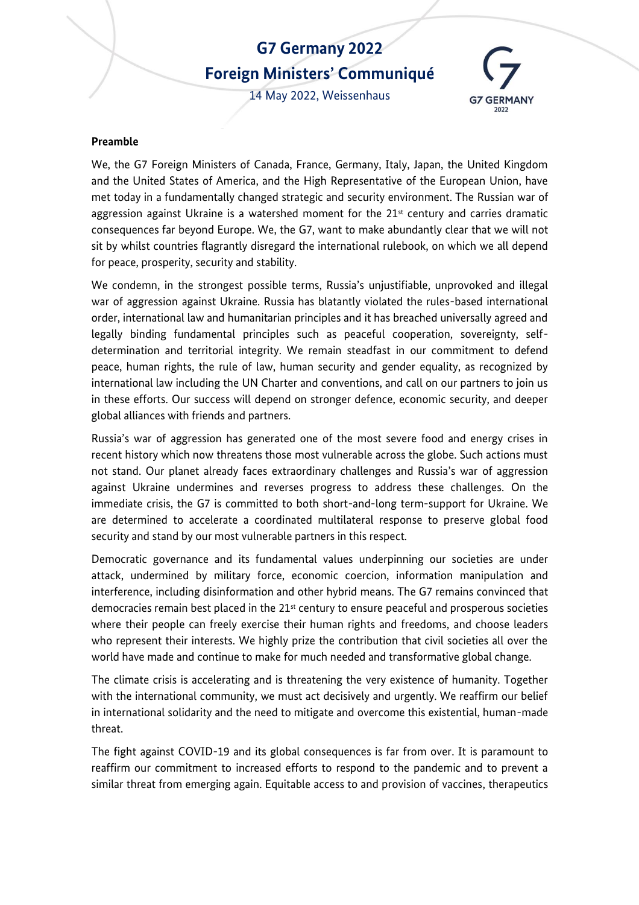# **G7 Germany 2022 Foreign Ministers' Communiqué**

14 May 2022, Weissenhaus



#### **Preamble**

We, the G7 Foreign Ministers of Canada, France, Germany, Italy, Japan, the United Kingdom and the United States of America, and the High Representative of the European Union, have met today in a fundamentally changed strategic and security environment. The Russian war of aggression against Ukraine is a watershed moment for the  $21<sup>st</sup>$  century and carries dramatic consequences far beyond Europe. We, the G7, want to make abundantly clear that we will not sit by whilst countries flagrantly disregard the international rulebook, on which we all depend for peace, prosperity, security and stability.

We condemn, in the strongest possible terms, Russia's unjustifiable, unprovoked and illegal war of aggression against Ukraine. Russia has blatantly violated the rules-based international order, international law and humanitarian principles and it has breached universally agreed and legally binding fundamental principles such as peaceful cooperation, sovereignty, selfdetermination and territorial integrity. We remain steadfast in our commitment to defend peace, human rights, the rule of law, human security and gender equality, as recognized by international law including the UN Charter and conventions, and call on our partners to join us in these efforts. Our success will depend on stronger defence, economic security, and deeper global alliances with friends and partners.

Russia's war of aggression has generated one of the most severe food and energy crises in recent history which now threatens those most vulnerable across the globe. Such actions must not stand. Our planet already faces extraordinary challenges and Russia's war of aggression against Ukraine undermines and reverses progress to address these challenges. On the immediate crisis, the G7 is committed to both short-and-long term-support for Ukraine. We are determined to accelerate a coordinated multilateral response to preserve global food security and stand by our most vulnerable partners in this respect.

Democratic governance and its fundamental values underpinning our societies are under attack, undermined by military force, economic coercion, information manipulation and interference, including disinformation and other hybrid means. The G7 remains convinced that democracies remain best placed in the  $21<sup>st</sup>$  century to ensure peaceful and prosperous societies where their people can freely exercise their human rights and freedoms, and choose leaders who represent their interests. We highly prize the contribution that civil societies all over the world have made and continue to make for much needed and transformative global change.

The climate crisis is accelerating and is threatening the very existence of humanity. Together with the international community, we must act decisively and urgently. We reaffirm our belief in international solidarity and the need to mitigate and overcome this existential, human-made threat.

The fight against COVID-19 and its global consequences is far from over. It is paramount to reaffirm our commitment to increased efforts to respond to the pandemic and to prevent a similar threat from emerging again. Equitable access to and provision of vaccines, therapeutics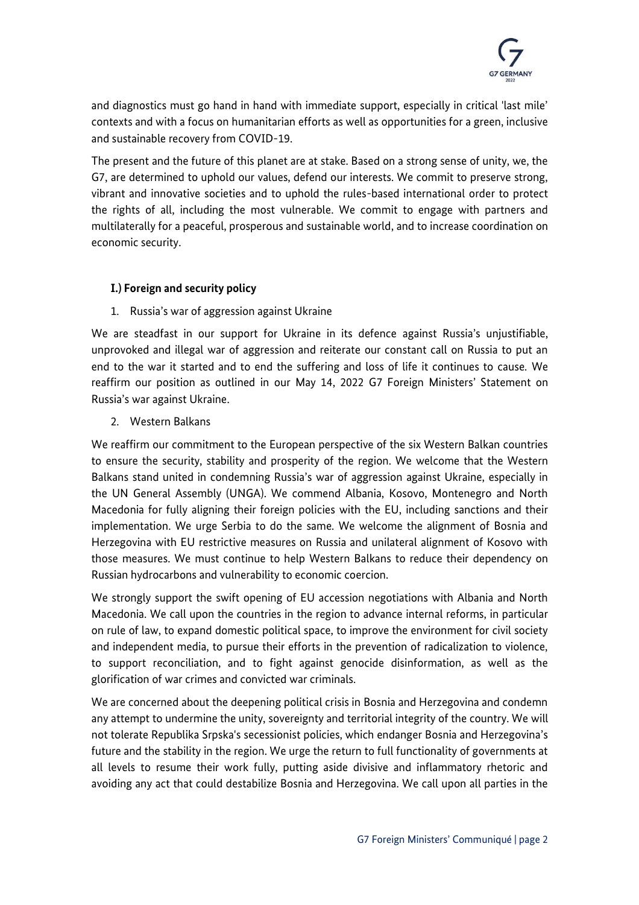

and diagnostics must go hand in hand with immediate support, especially in critical 'last mile' contexts and with a focus on humanitarian efforts as well as opportunities for a green, inclusive and sustainable recovery from COVID-19.

The present and the future of this planet are at stake. Based on a strong sense of unity, we, the G7, are determined to uphold our values, defend our interests. We commit to preserve strong, vibrant and innovative societies and to uphold the rules-based international order to protect the rights of all, including the most vulnerable. We commit to engage with partners and multilaterally for a peaceful, prosperous and sustainable world, and to increase coordination on economic security.

# **I.) Foreign and security policy**

1. Russia's war of aggression against Ukraine

We are steadfast in our support for Ukraine in its defence against Russia's unjustifiable, unprovoked and illegal war of aggression and reiterate our constant call on Russia to put an end to the war it started and to end the suffering and loss of life it continues to cause. We reaffirm our position as outlined in our May 14, 2022 G7 Foreign Ministers' Statement on Russia's war against Ukraine.

2. Western Balkans

We reaffirm our commitment to the European perspective of the six Western Balkan countries to ensure the security, stability and prosperity of the region. We welcome that the Western Balkans stand united in condemning Russia's war of aggression against Ukraine, especially in the UN General Assembly (UNGA). We commend Albania, Kosovo, Montenegro and North Macedonia for fully aligning their foreign policies with the EU, including sanctions and their implementation. We urge Serbia to do the same. We welcome the alignment of Bosnia and Herzegovina with EU restrictive measures on Russia and unilateral alignment of Kosovo with those measures. We must continue to help Western Balkans to reduce their dependency on Russian hydrocarbons and vulnerability to economic coercion.

We strongly support the swift opening of EU accession negotiations with Albania and North Macedonia. We call upon the countries in the region to advance internal reforms, in particular on rule of law, to expand domestic political space, to improve the environment for civil society and independent media, to pursue their efforts in the prevention of radicalization to violence, to support reconciliation, and to fight against genocide disinformation, as well as the glorification of war crimes and convicted war criminals.

We are concerned about the deepening political crisis in Bosnia and Herzegovina and condemn any attempt to undermine the unity, sovereignty and territorial integrity of the country. We will not tolerate Republika Srpska's secessionist policies, which endanger Bosnia and Herzegovina's future and the stability in the region. We urge the return to full functionality of governments at all levels to resume their work fully, putting aside divisive and inflammatory rhetoric and avoiding any act that could destabilize Bosnia and Herzegovina. We call upon all parties in the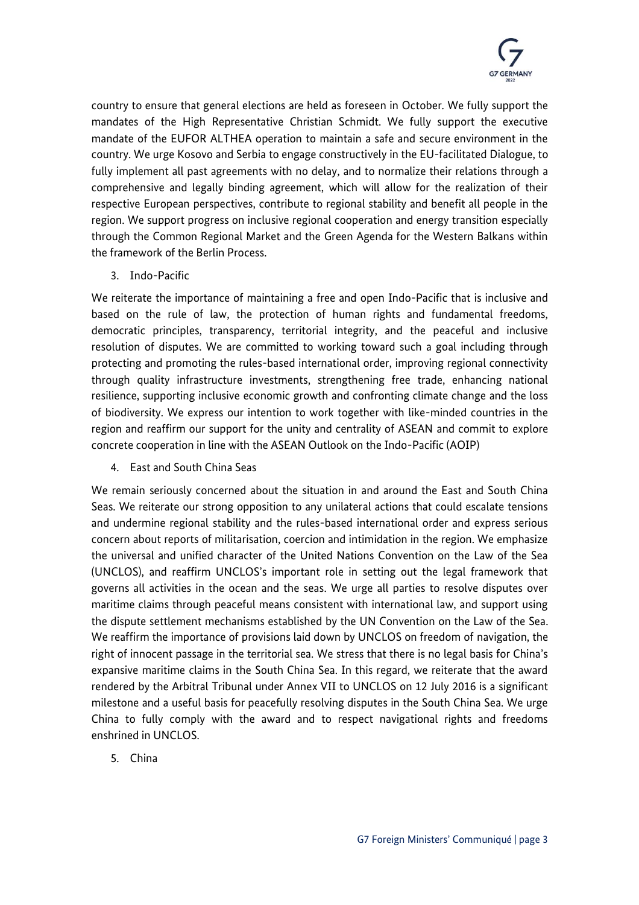

country to ensure that general elections are held as foreseen in October. We fully support the mandates of the High Representative Christian Schmidt. We fully support the executive mandate of the EUFOR ALTHEA operation to maintain a safe and secure environment in the country. We urge Kosovo and Serbia to engage constructively in the EU-facilitated Dialogue, to fully implement all past agreements with no delay, and to normalize their relations through a comprehensive and legally binding agreement, which will allow for the realization of their respective European perspectives, contribute to regional stability and benefit all people in the region. We support progress on inclusive regional cooperation and energy transition especially through the Common Regional Market and the Green Agenda for the Western Balkans within the framework of the Berlin Process.

3. Indo-Pacific

We reiterate the importance of maintaining a free and open Indo-Pacific that is inclusive and based on the rule of law, the protection of human rights and fundamental freedoms, democratic principles, transparency, territorial integrity, and the peaceful and inclusive resolution of disputes. We are committed to working toward such a goal including through protecting and promoting the rules-based international order, improving regional connectivity through quality infrastructure investments, strengthening free trade, enhancing national resilience, supporting inclusive economic growth and confronting climate change and the loss of biodiversity. We express our intention to work together with like-minded countries in the region and reaffirm our support for the unity and centrality of ASEAN and commit to explore concrete cooperation in line with the ASEAN Outlook on the Indo-Pacific (AOIP)

4. East and South China Seas

We remain seriously concerned about the situation in and around the East and South China Seas. We reiterate our strong opposition to any unilateral actions that could escalate tensions and undermine regional stability and the rules-based international order and express serious concern about reports of militarisation, coercion and intimidation in the region. We emphasize the universal and unified character of the United Nations Convention on the Law of the Sea (UNCLOS), and reaffirm UNCLOS's important role in setting out the legal framework that governs all activities in the ocean and the seas. We urge all parties to resolve disputes over maritime claims through peaceful means consistent with international law, and support using the dispute settlement mechanisms established by the UN Convention on the Law of the Sea. We reaffirm the importance of provisions laid down by UNCLOS on freedom of navigation, the right of innocent passage in the territorial sea. We stress that there is no legal basis for China's expansive maritime claims in the South China Sea. In this regard, we reiterate that the award rendered by the Arbitral Tribunal under Annex VII to UNCLOS on 12 July 2016 is a significant milestone and a useful basis for peacefully resolving disputes in the South China Sea. We urge China to fully comply with the award and to respect navigational rights and freedoms enshrined in UNCLOS.

5. China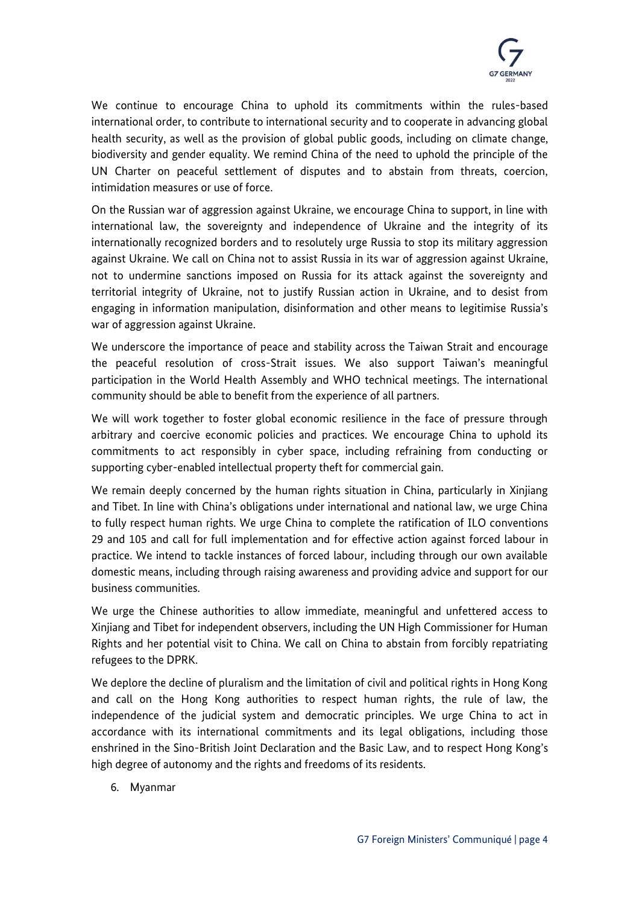

We continue to encourage China to uphold its commitments within the rules-based international order, to contribute to international security and to cooperate in advancing global health security, as well as the provision of global public goods, including on climate change, biodiversity and gender equality. We remind China of the need to uphold the principle of the UN Charter on peaceful settlement of disputes and to abstain from threats, coercion, intimidation measures or use of force.

On the Russian war of aggression against Ukraine, we encourage China to support, in line with international law, the sovereignty and independence of Ukraine and the integrity of its internationally recognized borders and to resolutely urge Russia to stop its military aggression against Ukraine. We call on China not to assist Russia in its war of aggression against Ukraine, not to undermine sanctions imposed on Russia for its attack against the sovereignty and territorial integrity of Ukraine, not to justify Russian action in Ukraine, and to desist from engaging in information manipulation, disinformation and other means to legitimise Russia's war of aggression against Ukraine.

We underscore the importance of peace and stability across the Taiwan Strait and encourage the peaceful resolution of cross-Strait issues. We also support Taiwan's meaningful participation in the World Health Assembly and WHO technical meetings. The international community should be able to benefit from the experience of all partners.

We will work together to foster global economic resilience in the face of pressure through arbitrary and coercive economic policies and practices. We encourage China to uphold its commitments to act responsibly in cyber space, including refraining from conducting or supporting cyber-enabled intellectual property theft for commercial gain.

We remain deeply concerned by the human rights situation in China, particularly in Xinjiang and Tibet. In line with China's obligations under international and national law, we urge China to fully respect human rights. We urge China to complete the ratification of ILO conventions 29 and 105 and call for full implementation and for effective action against forced labour in practice. We intend to tackle instances of forced labour, including through our own available domestic means, including through raising awareness and providing advice and support for our business communities.

We urge the Chinese authorities to allow immediate, meaningful and unfettered access to Xinjiang and Tibet for independent observers, including the UN High Commissioner for Human Rights and her potential visit to China. We call on China to abstain from forcibly repatriating refugees to the DPRK.

We deplore the decline of pluralism and the limitation of civil and political rights in Hong Kong and call on the Hong Kong authorities to respect human rights, the rule of law, the independence of the judicial system and democratic principles. We urge China to act in accordance with its international commitments and its legal obligations, including those enshrined in the Sino-British Joint Declaration and the Basic Law, and to respect Hong Kong's high degree of autonomy and the rights and freedoms of its residents.

6. Myanmar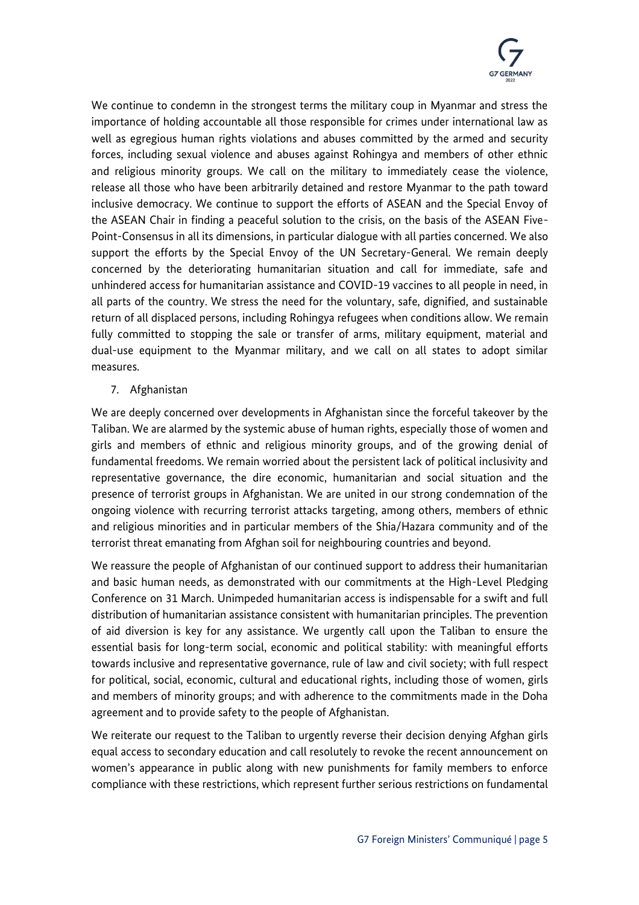

We continue to condemn in the strongest terms the military coup in Myanmar and stress the importance of holding accountable all those responsible for crimes under international law as well as egregious human rights violations and abuses committed by the armed and security forces, including sexual violence and abuses against Rohingya and members of other ethnic and religious minority groups. We call on the military to immediately cease the violence, release all those who have been arbitrarily detained and restore Myanmar to the path toward inclusive democracy. We continue to support the efforts of ASEAN and the Special Envoy of the ASEAN Chair in finding a peaceful solution to the crisis, on the basis of the ASEAN Five-Point-Consensus in all its dimensions, in particular dialogue with all parties concerned. We also support the efforts by the Special Envoy of the UN Secretary-General. We remain deeply concerned by the deteriorating humanitarian situation and call for immediate, safe and unhindered access for humanitarian assistance and COVID-19 vaccines to all people in need, in all parts of the country. We stress the need for the voluntary, safe, dignified, and sustainable return of all displaced persons, including Rohingya refugees when conditions allow. We remain fully committed to stopping the sale or transfer of arms, military equipment, material and dual-use equipment to the Myanmar military, and we call on all states to adopt similar measures.

7. Afghanistan

We are deeply concerned over developments in Afghanistan since the forceful takeover by the Taliban. We are alarmed by the systemic abuse of human rights, especially those of women and girls and members of ethnic and religious minority groups, and of the growing denial of fundamental freedoms. We remain worried about the persistent lack of political inclusivity and representative governance, the dire economic, humanitarian and social situation and the presence of terrorist groups in Afghanistan. We are united in our strong condemnation of the ongoing violence with recurring terrorist attacks targeting, among others, members of ethnic and religious minorities and in particular members of the Shia/Hazara community and of the terrorist threat emanating from Afghan soil for neighbouring countries and beyond.

We reassure the people of Afghanistan of our continued support to address their humanitarian and basic human needs, as demonstrated with our commitments at the High-Level Pledging Conference on 31 March. Unimpeded humanitarian access is indispensable for a swift and full distribution of humanitarian assistance consistent with humanitarian principles. The prevention of aid diversion is key for any assistance. We urgently call upon the Taliban to ensure the essential basis for long-term social, economic and political stability: with meaningful efforts towards inclusive and representative governance, rule of law and civil society; with full respect for political, social, economic, cultural and educational rights, including those of women, girls and members of minority groups; and with adherence to the commitments made in the Doha agreement and to provide safety to the people of Afghanistan.

We reiterate our request to the Taliban to urgently reverse their decision denying Afghan girls equal access to secondary education and call resolutely to revoke the recent announcement on women's appearance in public along with new punishments for family members to enforce compliance with these restrictions, which represent further serious restrictions on fundamental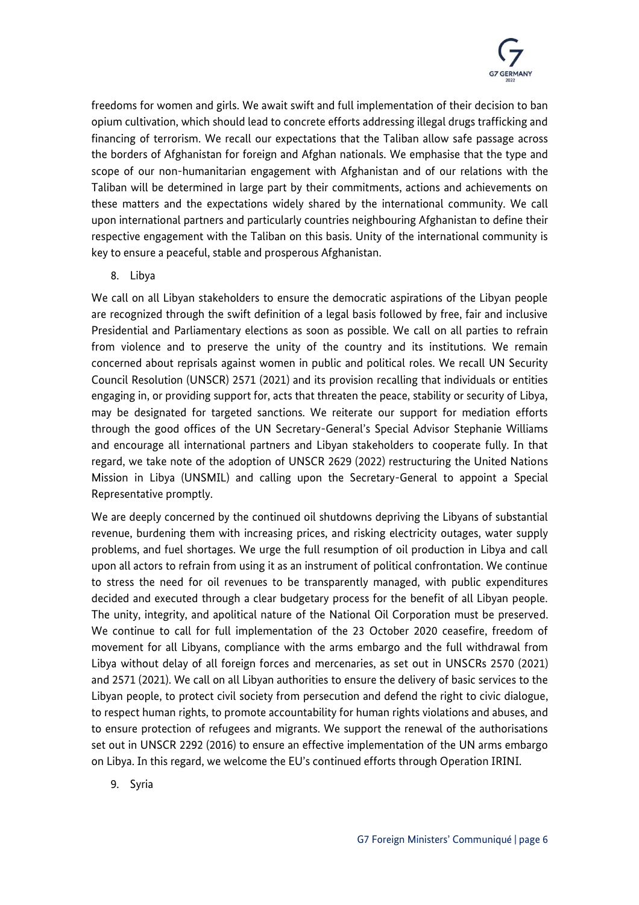

freedoms for women and girls. We await swift and full implementation of their decision to ban opium cultivation, which should lead to concrete efforts addressing illegal drugs trafficking and financing of terrorism. We recall our expectations that the Taliban allow safe passage across the borders of Afghanistan for foreign and Afghan nationals. We emphasise that the type and scope of our non-humanitarian engagement with Afghanistan and of our relations with the Taliban will be determined in large part by their commitments, actions and achievements on these matters and the expectations widely shared by the international community. We call upon international partners and particularly countries neighbouring Afghanistan to define their respective engagement with the Taliban on this basis. Unity of the international community is key to ensure a peaceful, stable and prosperous Afghanistan.

8. Libya

We call on all Libyan stakeholders to ensure the democratic aspirations of the Libyan people are recognized through the swift definition of a legal basis followed by free, fair and inclusive Presidential and Parliamentary elections as soon as possible. We call on all parties to refrain from violence and to preserve the unity of the country and its institutions. We remain concerned about reprisals against women in public and political roles. We recall UN Security Council Resolution (UNSCR) 2571 (2021) and its provision recalling that individuals or entities engaging in, or providing support for, acts that threaten the peace, stability or security of Libya, may be designated for targeted sanctions. We reiterate our support for mediation efforts through the good offices of the UN Secretary-General's Special Advisor Stephanie Williams and encourage all international partners and Libyan stakeholders to cooperate fully. In that regard, we take note of the adoption of UNSCR 2629 (2022) restructuring the United Nations Mission in Libya (UNSMIL) and calling upon the Secretary-General to appoint a Special Representative promptly.

We are deeply concerned by the continued oil shutdowns depriving the Libyans of substantial revenue, burdening them with increasing prices, and risking electricity outages, water supply problems, and fuel shortages. We urge the full resumption of oil production in Libya and call upon all actors to refrain from using it as an instrument of political confrontation. We continue to stress the need for oil revenues to be transparently managed, with public expenditures decided and executed through a clear budgetary process for the benefit of all Libyan people. The unity, integrity, and apolitical nature of the National Oil Corporation must be preserved. We continue to call for full implementation of the 23 October 2020 ceasefire, freedom of movement for all Libyans, compliance with the arms embargo and the full withdrawal from Libya without delay of all foreign forces and mercenaries, as set out in UNSCRs 2570 (2021) and 2571 (2021). We call on all Libyan authorities to ensure the delivery of basic services to the Libyan people, to protect civil society from persecution and defend the right to civic dialogue, to respect human rights, to promote accountability for human rights violations and abuses, and to ensure protection of refugees and migrants. We support the renewal of the authorisations set out in UNSCR 2292 (2016) to ensure an effective implementation of the UN arms embargo on Libya. In this regard, we welcome the EU's continued efforts through Operation IRINI.

9. Syria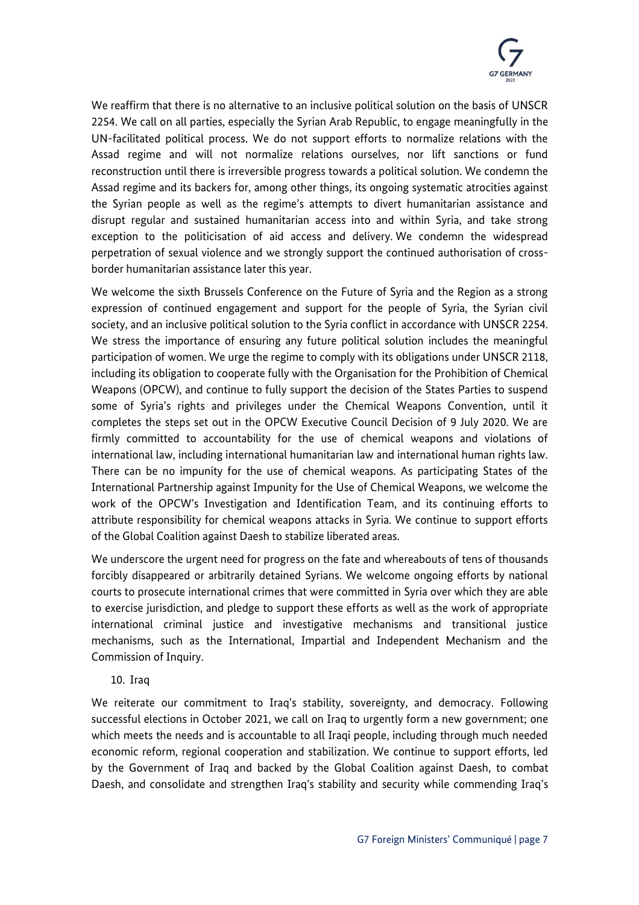

We reaffirm that there is no alternative to an inclusive political solution on the basis of UNSCR 2254. We call on all parties, especially the Syrian Arab Republic, to engage meaningfully in the UN-facilitated political process. We do not support efforts to normalize relations with the Assad regime and will not normalize relations ourselves, nor lift sanctions or fund reconstruction until there is irreversible progress towards a political solution. We condemn the Assad regime and its backers for, among other things, its ongoing systematic atrocities against the Syrian people as well as the regime's attempts to divert humanitarian assistance and disrupt regular and sustained humanitarian access into and within Syria, and take strong exception to the politicisation of aid access and delivery. We condemn the widespread perpetration of sexual violence and we strongly support the continued authorisation of crossborder humanitarian assistance later this year.

We welcome the sixth Brussels Conference on the Future of Syria and the Region as a strong expression of continued engagement and support for the people of Syria, the Syrian civil society, and an inclusive political solution to the Syria conflict in accordance with UNSCR 2254. We stress the importance of ensuring any future political solution includes the meaningful participation of women. We urge the regime to comply with its obligations under UNSCR 2118, including its obligation to cooperate fully with the Organisation for the Prohibition of Chemical Weapons (OPCW), and continue to fully support the decision of the States Parties to suspend some of Syria's rights and privileges under the Chemical Weapons Convention, until it completes the steps set out in the OPCW Executive Council Decision of 9 July 2020. We are firmly committed to accountability for the use of chemical weapons and violations of international law, including international humanitarian law and international human rights law. There can be no impunity for the use of chemical weapons. As participating States of the International Partnership against Impunity for the Use of Chemical Weapons, we welcome the work of the OPCW's Investigation and Identification Team, and its continuing efforts to attribute responsibility for chemical weapons attacks in Syria. We continue to support efforts of the Global Coalition against Daesh to stabilize liberated areas.

We underscore the urgent need for progress on the fate and whereabouts of tens of thousands forcibly disappeared or arbitrarily detained Syrians. We welcome ongoing efforts by national courts to prosecute international crimes that were committed in Syria over which they are able to exercise jurisdiction, and pledge to support these efforts as well as the work of appropriate international criminal justice and investigative mechanisms and transitional justice mechanisms, such as the International, Impartial and Independent Mechanism and the Commission of Inquiry.

10. Iraq

We reiterate our commitment to Iraq's stability, sovereignty, and democracy. Following successful elections in October 2021, we call on Iraq to urgently form a new government; one which meets the needs and is accountable to all Iraqi people, including through much needed economic reform, regional cooperation and stabilization. We continue to support efforts, led by the Government of Iraq and backed by the Global Coalition against Daesh, to combat Daesh, and consolidate and strengthen Iraq's stability and security while commending Iraq's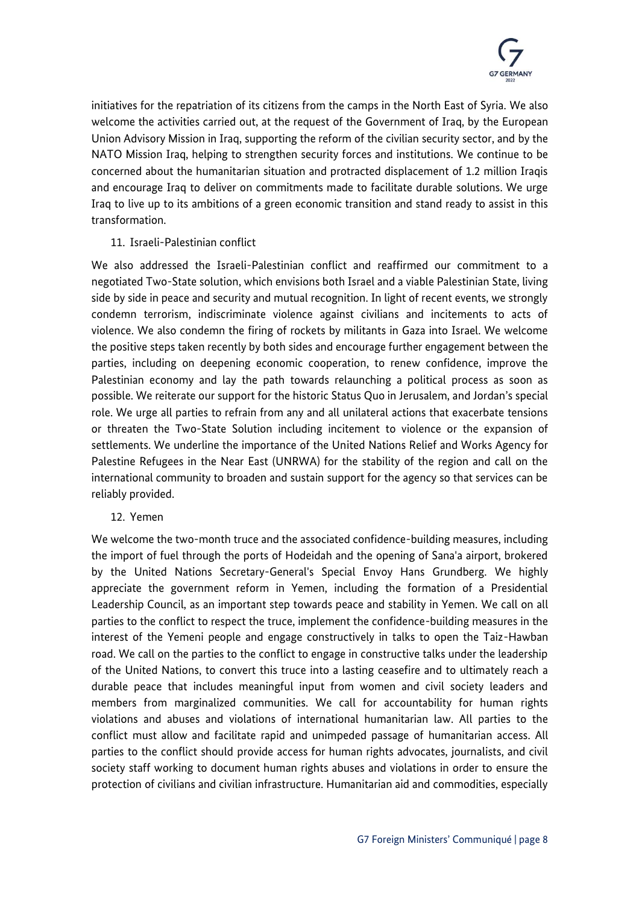

initiatives for the repatriation of its citizens from the camps in the North East of Syria. We also welcome the activities carried out, at the request of the Government of Iraq, by the European Union Advisory Mission in Iraq, supporting the reform of the civilian security sector, and by the NATO Mission Iraq, helping to strengthen security forces and institutions. We continue to be concerned about the humanitarian situation and protracted displacement of 1.2 million Iraqis and encourage Iraq to deliver on commitments made to facilitate durable solutions. We urge Iraq to live up to its ambitions of a green economic transition and stand ready to assist in this transformation.

# 11. Israeli-Palestinian conflict

We also addressed the Israeli-Palestinian conflict and reaffirmed our commitment to a negotiated Two-State solution, which envisions both Israel and a viable Palestinian State, living side by side in peace and security and mutual recognition. In light of recent events, we strongly condemn terrorism, indiscriminate violence against civilians and incitements to acts of violence. We also condemn the firing of rockets by militants in Gaza into Israel. We welcome the positive steps taken recently by both sides and encourage further engagement between the parties, including on deepening economic cooperation, to renew confidence, improve the Palestinian economy and lay the path towards relaunching a political process as soon as possible. We reiterate our support for the historic Status Quo in Jerusalem, and Jordan's special role. We urge all parties to refrain from any and all unilateral actions that exacerbate tensions or threaten the Two-State Solution including incitement to violence or the expansion of settlements. We underline the importance of the United Nations Relief and Works Agency for Palestine Refugees in the Near East (UNRWA) for the stability of the region and call on the international community to broaden and sustain support for the agency so that services can be reliably provided.

#### 12. Yemen

We welcome the two-month truce and the associated confidence-building measures, including the import of fuel through the ports of Hodeidah and the opening of Sana'a airport, brokered by the United Nations Secretary-General's Special Envoy Hans Grundberg. We highly appreciate the government reform in Yemen, including the formation of a Presidential Leadership Council, as an important step towards peace and stability in Yemen. We call on all parties to the conflict to respect the truce, implement the confidence-building measures in the interest of the Yemeni people and engage constructively in talks to open the Taiz-Hawban road. We call on the parties to the conflict to engage in constructive talks under the leadership of the United Nations, to convert this truce into a lasting ceasefire and to ultimately reach a durable peace that includes meaningful input from women and civil society leaders and members from marginalized communities. We call for accountability for human rights violations and abuses and violations of international humanitarian law. All parties to the conflict must allow and facilitate rapid and unimpeded passage of humanitarian access. All parties to the conflict should provide access for human rights advocates, journalists, and civil society staff working to document human rights abuses and violations in order to ensure the protection of civilians and civilian infrastructure. Humanitarian aid and commodities, especially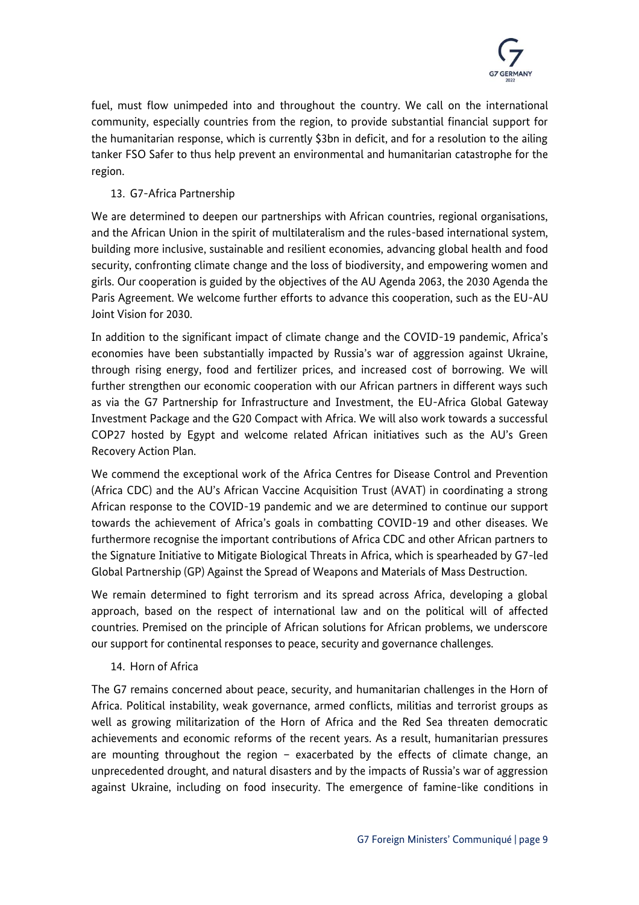

fuel, must flow unimpeded into and throughout the country. We call on the international community, especially countries from the region, to provide substantial financial support for the humanitarian response, which is currently \$3bn in deficit, and for a resolution to the ailing tanker FSO Safer to thus help prevent an environmental and humanitarian catastrophe for the region.

# 13. G7-Africa Partnership

We are determined to deepen our partnerships with African countries, regional organisations, and the African Union in the spirit of multilateralism and the rules-based international system, building more inclusive, sustainable and resilient economies, advancing global health and food security, confronting climate change and the loss of biodiversity, and empowering women and girls. Our cooperation is guided by the objectives of the AU Agenda 2063, the 2030 Agenda the Paris Agreement. We welcome further efforts to advance this cooperation, such as the EU-AU Joint Vision for 2030.

In addition to the significant impact of climate change and the COVID-19 pandemic, Africa's economies have been substantially impacted by Russia's war of aggression against Ukraine, through rising energy, food and fertilizer prices, and increased cost of borrowing. We will further strengthen our economic cooperation with our African partners in different ways such as via the G7 Partnership for Infrastructure and Investment, the EU-Africa Global Gateway Investment Package and the G20 Compact with Africa. We will also work towards a successful COP27 hosted by Egypt and welcome related African initiatives such as the AU's Green Recovery Action Plan.

We commend the exceptional work of the Africa Centres for Disease Control and Prevention (Africa CDC) and the AU's African Vaccine Acquisition Trust (AVAT) in coordinating a strong African response to the COVID-19 pandemic and we are determined to continue our support towards the achievement of Africa's goals in combatting COVID-19 and other diseases. We furthermore recognise the important contributions of Africa CDC and other African partners to the Signature Initiative to Mitigate Biological Threats in Africa, which is spearheaded by G7-led Global Partnership (GP) Against the Spread of Weapons and Materials of Mass Destruction.

We remain determined to fight terrorism and its spread across Africa, developing a global approach, based on the respect of international law and on the political will of affected countries. Premised on the principle of African solutions for African problems, we underscore our support for continental responses to peace, security and governance challenges.

# 14. Horn of Africa

The G7 remains concerned about peace, security, and humanitarian challenges in the Horn of Africa. Political instability, weak governance, armed conflicts, militias and terrorist groups as well as growing militarization of the Horn of Africa and the Red Sea threaten democratic achievements and economic reforms of the recent years. As a result, humanitarian pressures are mounting throughout the region – exacerbated by the effects of climate change, an unprecedented drought, and natural disasters and by the impacts of Russia's war of aggression against Ukraine, including on food insecurity. The emergence of famine-like conditions in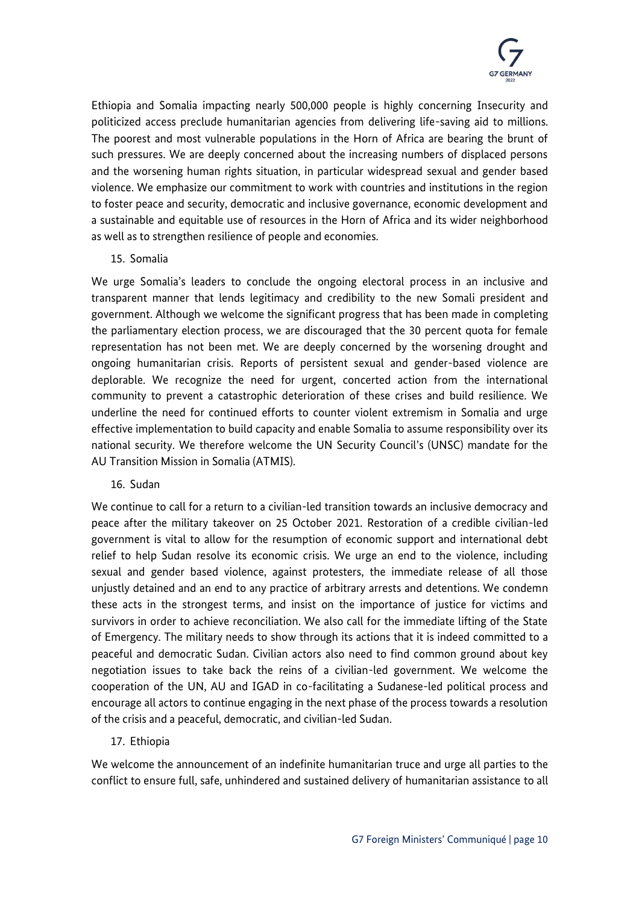

Ethiopia and Somalia impacting nearly 500,000 people is highly concerning Insecurity and politicized access preclude humanitarian agencies from delivering life-saving aid to millions. The poorest and most vulnerable populations in the Horn of Africa are bearing the brunt of such pressures. We are deeply concerned about the increasing numbers of displaced persons and the worsening human rights situation, in particular widespread sexual and gender based violence. We emphasize our commitment to work with countries and institutions in the region to foster peace and security, democratic and inclusive governance, economic development and a sustainable and equitable use of resources in the Horn of Africa and its wider neighborhood as well as to strengthen resilience of people and economies.

# 15. Somalia

We urge Somalia's leaders to conclude the ongoing electoral process in an inclusive and transparent manner that lends legitimacy and credibility to the new Somali president and government. Although we welcome the significant progress that has been made in completing the parliamentary election process, we are discouraged that the 30 percent quota for female representation has not been met. We are deeply concerned by the worsening drought and ongoing humanitarian crisis. Reports of persistent sexual and gender-based violence are deplorable. We recognize the need for urgent, concerted action from the international community to prevent a catastrophic deterioration of these crises and build resilience. We underline the need for continued efforts to counter violent extremism in Somalia and urge effective implementation to build capacity and enable Somalia to assume responsibility over its national security. We therefore welcome the UN Security Council's (UNSC) mandate for the AU Transition Mission in Somalia (ATMIS).

# 16. Sudan

We continue to call for a return to a civilian-led transition towards an inclusive democracy and peace after the military takeover on 25 October 2021. Restoration of a credible civilian-led government is vital to allow for the resumption of economic support and international debt relief to help Sudan resolve its economic crisis. We urge an end to the violence, including sexual and gender based violence, against protesters, the immediate release of all those unjustly detained and an end to any practice of arbitrary arrests and detentions. We condemn these acts in the strongest terms, and insist on the importance of justice for victims and survivors in order to achieve reconciliation. We also call for the immediate lifting of the State of Emergency. The military needs to show through its actions that it is indeed committed to a peaceful and democratic Sudan. Civilian actors also need to find common ground about key negotiation issues to take back the reins of a civilian-led government. We welcome the cooperation of the UN, AU and IGAD in co-facilitating a Sudanese-led political process and encourage all actors to continue engaging in the next phase of the process towards a resolution of the crisis and a peaceful, democratic, and civilian-led Sudan.

# 17. Ethiopia

We welcome the announcement of an indefinite humanitarian truce and urge all parties to the conflict to ensure full, safe, unhindered and sustained delivery of humanitarian assistance to all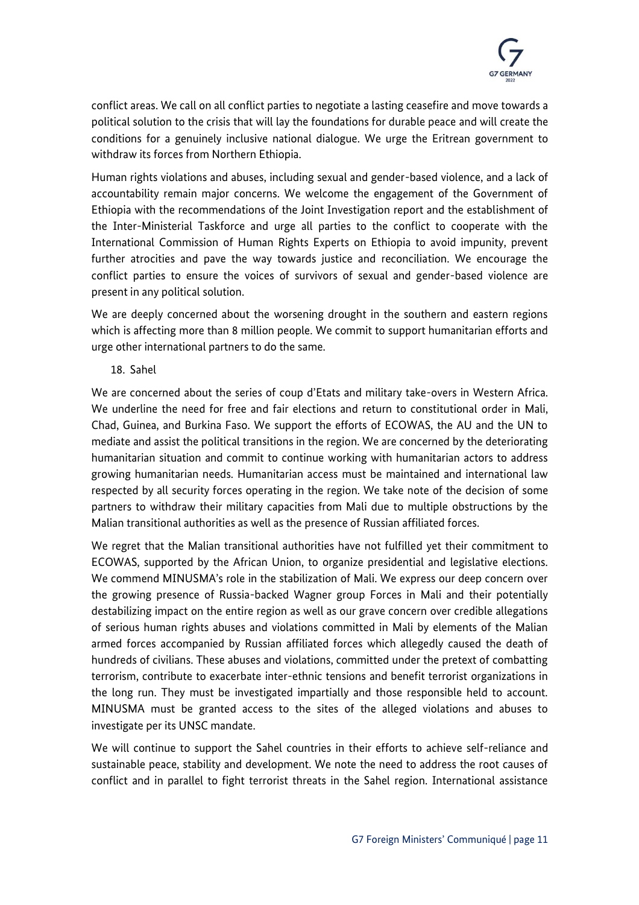

conflict areas. We call on all conflict parties to negotiate a lasting ceasefire and move towards a political solution to the crisis that will lay the foundations for durable peace and will create the conditions for a genuinely inclusive national dialogue. We urge the Eritrean government to withdraw its forces from Northern Ethiopia.

Human rights violations and abuses, including sexual and gender-based violence, and a lack of accountability remain major concerns. We welcome the engagement of the Government of Ethiopia with the recommendations of the Joint Investigation report and the establishment of the Inter-Ministerial Taskforce and urge all parties to the conflict to cooperate with the International Commission of Human Rights Experts on Ethiopia to avoid impunity, prevent further atrocities and pave the way towards justice and reconciliation. We encourage the conflict parties to ensure the voices of survivors of sexual and gender-based violence are present in any political solution.

We are deeply concerned about the worsening drought in the southern and eastern regions which is affecting more than 8 million people. We commit to support humanitarian efforts and urge other international partners to do the same.

18. Sahel

We are concerned about the series of coup d'Etats and military take-overs in Western Africa. We underline the need for free and fair elections and return to constitutional order in Mali, Chad, Guinea, and Burkina Faso. We support the efforts of ECOWAS, the AU and the UN to mediate and assist the political transitions in the region. We are concerned by the deteriorating humanitarian situation and commit to continue working with humanitarian actors to address growing humanitarian needs. Humanitarian access must be maintained and international law respected by all security forces operating in the region. We take note of the decision of some partners to withdraw their military capacities from Mali due to multiple obstructions by the Malian transitional authorities as well as the presence of Russian affiliated forces.

We regret that the Malian transitional authorities have not fulfilled yet their commitment to ECOWAS, supported by the African Union, to organize presidential and legislative elections. We commend MINUSMA's role in the stabilization of Mali. We express our deep concern over the growing presence of Russia-backed Wagner group Forces in Mali and their potentially destabilizing impact on the entire region as well as our grave concern over credible allegations of serious human rights abuses and violations committed in Mali by elements of the Malian armed forces accompanied by Russian affiliated forces which allegedly caused the death of hundreds of civilians. These abuses and violations, committed under the pretext of combatting terrorism, contribute to exacerbate inter-ethnic tensions and benefit terrorist organizations in the long run. They must be investigated impartially and those responsible held to account. MINUSMA must be granted access to the sites of the alleged violations and abuses to investigate per its UNSC mandate.

We will continue to support the Sahel countries in their efforts to achieve self-reliance and sustainable peace, stability and development. We note the need to address the root causes of conflict and in parallel to fight terrorist threats in the Sahel region. International assistance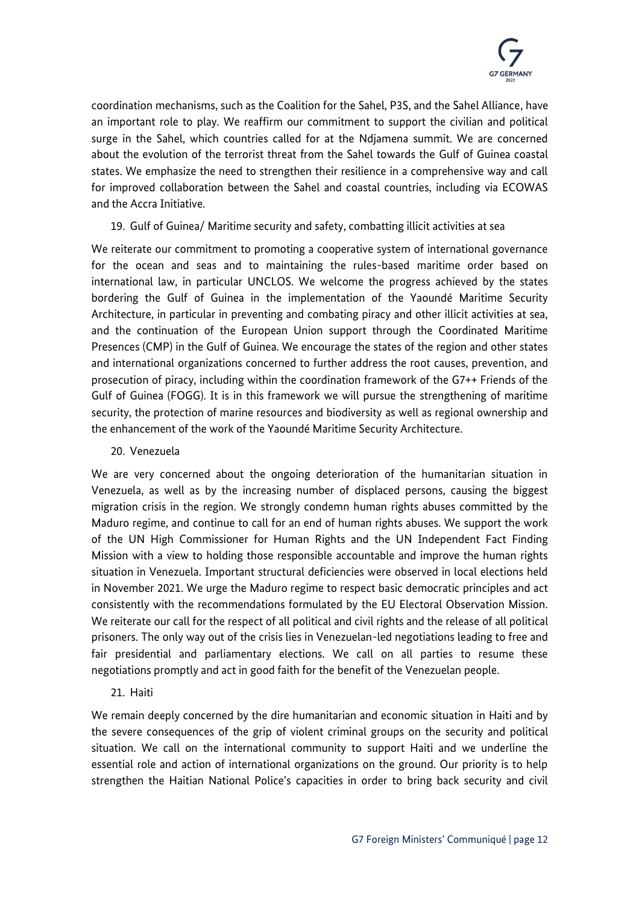

coordination mechanisms, such as the Coalition for the Sahel, P3S, and the Sahel Alliance, have an important role to play. We reaffirm our commitment to support the civilian and political surge in the Sahel, which countries called for at the Ndjamena summit. We are concerned about the evolution of the terrorist threat from the Sahel towards the Gulf of Guinea coastal states. We emphasize the need to strengthen their resilience in a comprehensive way and call for improved collaboration between the Sahel and coastal countries, including via ECOWAS and the Accra Initiative.

# 19. Gulf of Guinea/ Maritime security and safety, combatting illicit activities at sea

We reiterate our commitment to promoting a cooperative system of international governance for the ocean and seas and to maintaining the rules-based maritime order based on international law, in particular UNCLOS. We welcome the progress achieved by the states bordering the Gulf of Guinea in the implementation of the Yaoundé Maritime Security Architecture, in particular in preventing and combating piracy and other illicit activities at sea, and the continuation of the European Union support through the Coordinated Maritime Presences (CMP) in the Gulf of Guinea. We encourage the states of the region and other states and international organizations concerned to further address the root causes, prevention, and prosecution of piracy, including within the coordination framework of the G7++ Friends of the Gulf of Guinea (FOGG). It is in this framework we will pursue the strengthening of maritime security, the protection of marine resources and biodiversity as well as regional ownership and the enhancement of the work of the Yaoundé Maritime Security Architecture.

20. Venezuela

We are very concerned about the ongoing deterioration of the humanitarian situation in Venezuela, as well as by the increasing number of displaced persons, causing the biggest migration crisis in the region. We strongly condemn human rights abuses committed by the Maduro regime, and continue to call for an end of human rights abuses. We support the work of the UN High Commissioner for Human Rights and the UN Independent Fact Finding Mission with a view to holding those responsible accountable and improve the human rights situation in Venezuela. Important structural deficiencies were observed in local elections held in November 2021. We urge the Maduro regime to respect basic democratic principles and act consistently with the recommendations formulated by the EU Electoral Observation Mission. We reiterate our call for the respect of all political and civil rights and the release of all political prisoners. The only way out of the crisis lies in Venezuelan-led negotiations leading to free and fair presidential and parliamentary elections. We call on all parties to resume these negotiations promptly and act in good faith for the benefit of the Venezuelan people.

# 21. Haiti

We remain deeply concerned by the dire humanitarian and economic situation in Haiti and by the severe consequences of the grip of violent criminal groups on the security and political situation. We call on the international community to support Haiti and we underline the essential role and action of international organizations on the ground. Our priority is to help strengthen the Haitian National Police's capacities in order to bring back security and civil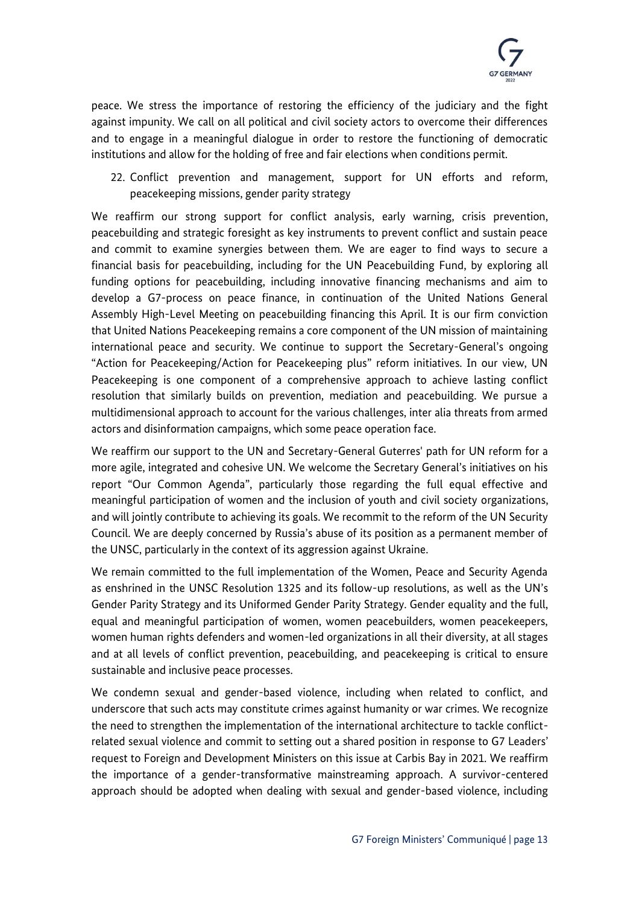

peace. We stress the importance of restoring the efficiency of the judiciary and the fight against impunity. We call on all political and civil society actors to overcome their differences and to engage in a meaningful dialogue in order to restore the functioning of democratic institutions and allow for the holding of free and fair elections when conditions permit.

22. Conflict prevention and management, support for UN efforts and reform, peacekeeping missions, gender parity strategy

We reaffirm our strong support for conflict analysis, early warning, crisis prevention, peacebuilding and strategic foresight as key instruments to prevent conflict and sustain peace and commit to examine synergies between them. We are eager to find ways to secure a financial basis for peacebuilding, including for the UN Peacebuilding Fund, by exploring all funding options for peacebuilding, including innovative financing mechanisms and aim to develop a G7-process on peace finance, in continuation of the United Nations General Assembly High-Level Meeting on peacebuilding financing this April. It is our firm conviction that United Nations Peacekeeping remains a core component of the UN mission of maintaining international peace and security. We continue to support the Secretary-General's ongoing "Action for Peacekeeping/Action for Peacekeeping plus" reform initiatives. In our view, UN Peacekeeping is one component of a comprehensive approach to achieve lasting conflict resolution that similarly builds on prevention, mediation and peacebuilding. We pursue a multidimensional approach to account for the various challenges, inter alia threats from armed actors and disinformation campaigns, which some peace operation face.

We reaffirm our support to the UN and Secretary-General Guterres' path for UN reform for a more agile, integrated and cohesive UN. We welcome the Secretary General's initiatives on his report "Our Common Agenda", particularly those regarding the full equal effective and meaningful participation of women and the inclusion of youth and civil society organizations, and will jointly contribute to achieving its goals. We recommit to the reform of the UN Security Council. We are deeply concerned by Russia's abuse of its position as a permanent member of the UNSC, particularly in the context of its aggression against Ukraine.

We remain committed to the full implementation of the Women, Peace and Security Agenda as enshrined in the UNSC Resolution 1325 and its follow-up resolutions, as well as the UN's Gender Parity Strategy and its Uniformed Gender Parity Strategy. Gender equality and the full, equal and meaningful participation of women, women peacebuilders, women peacekeepers, women human rights defenders and women-led organizations in all their diversity, at all stages and at all levels of conflict prevention, peacebuilding, and peacekeeping is critical to ensure sustainable and inclusive peace processes.

We condemn sexual and gender-based violence, including when related to conflict, and underscore that such acts may constitute crimes against humanity or war crimes. We recognize the need to strengthen the implementation of the international architecture to tackle conflictrelated sexual violence and commit to setting out a shared position in response to G7 Leaders' request to Foreign and Development Ministers on this issue at Carbis Bay in 2021. We reaffirm the importance of a gender-transformative mainstreaming approach. A survivor-centered approach should be adopted when dealing with sexual and gender-based violence, including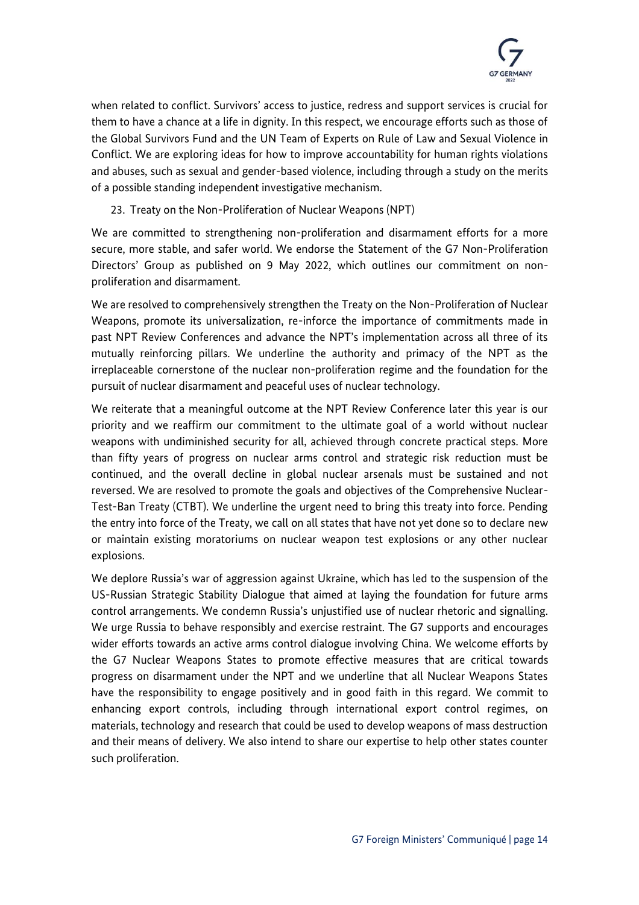

when related to conflict. Survivors' access to justice, redress and support services is crucial for them to have a chance at a life in dignity. In this respect, we encourage efforts such as those of the Global Survivors Fund and the UN Team of Experts on Rule of Law and Sexual Violence in Conflict. We are exploring ideas for how to improve accountability for human rights violations and abuses, such as sexual and gender-based violence, including through a study on the merits of a possible standing independent investigative mechanism.

23. Treaty on the Non-Proliferation of Nuclear Weapons (NPT)

We are committed to strengthening non-proliferation and disarmament efforts for a more secure, more stable, and safer world. We endorse the Statement of the G7 Non-Proliferation Directors' Group as published on 9 May 2022, which outlines our commitment on nonproliferation and disarmament.

We are resolved to comprehensively strengthen the Treaty on the Non-Proliferation of Nuclear Weapons, promote its universalization, re-inforce the importance of commitments made in past NPT Review Conferences and advance the NPT's implementation across all three of its mutually reinforcing pillars. We underline the authority and primacy of the NPT as the irreplaceable cornerstone of the nuclear non-proliferation regime and the foundation for the pursuit of nuclear disarmament and peaceful uses of nuclear technology.

We reiterate that a meaningful outcome at the NPT Review Conference later this year is our priority and we reaffirm our commitment to the ultimate goal of a world without nuclear weapons with undiminished security for all, achieved through concrete practical steps. More than fifty years of progress on nuclear arms control and strategic risk reduction must be continued, and the overall decline in global nuclear arsenals must be sustained and not reversed. We are resolved to promote the goals and objectives of the Comprehensive Nuclear-Test-Ban Treaty (CTBT). We underline the urgent need to bring this treaty into force. Pending the entry into force of the Treaty, we call on all states that have not yet done so to declare new or maintain existing moratoriums on nuclear weapon test explosions or any other nuclear explosions.

We deplore Russia's war of aggression against Ukraine, which has led to the suspension of the US-Russian Strategic Stability Dialogue that aimed at laying the foundation for future arms control arrangements. We condemn Russia's unjustified use of nuclear rhetoric and signalling. We urge Russia to behave responsibly and exercise restraint. The G7 supports and encourages wider efforts towards an active arms control dialogue involving China. We welcome efforts by the G7 Nuclear Weapons States to promote effective measures that are critical towards progress on disarmament under the NPT and we underline that all Nuclear Weapons States have the responsibility to engage positively and in good faith in this regard. We commit to enhancing export controls, including through international export control regimes, on materials, technology and research that could be used to develop weapons of mass destruction and their means of delivery. We also intend to share our expertise to help other states counter such proliferation.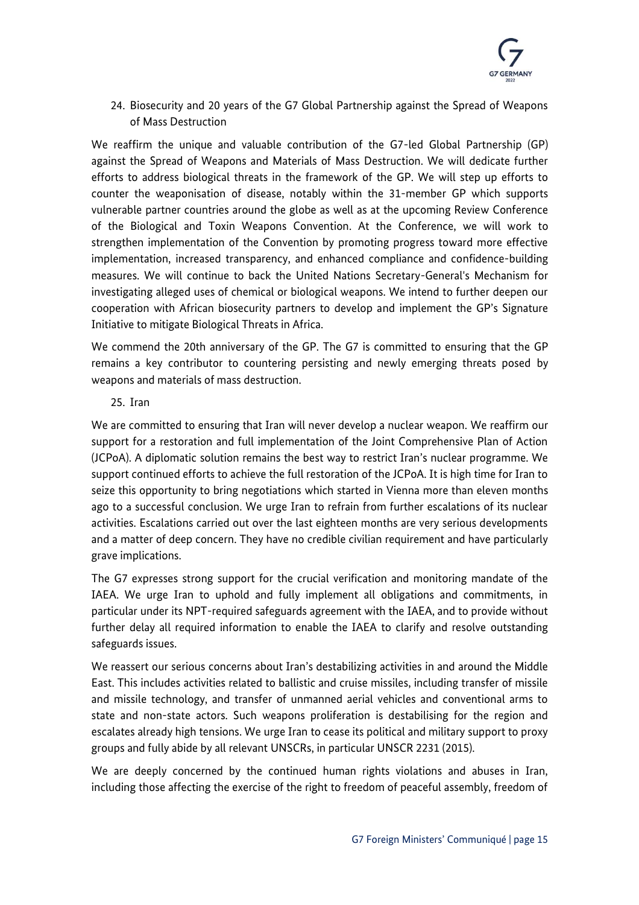

24. Biosecurity and 20 years of the G7 Global Partnership against the Spread of Weapons of Mass Destruction

We reaffirm the unique and valuable contribution of the G7-led Global Partnership (GP) against the Spread of Weapons and Materials of Mass Destruction. We will dedicate further efforts to address biological threats in the framework of the GP. We will step up efforts to counter the weaponisation of disease, notably within the 31-member GP which supports vulnerable partner countries around the globe as well as at the upcoming Review Conference of the Biological and Toxin Weapons Convention. At the Conference, we will work to strengthen implementation of the Convention by promoting progress toward more effective implementation, increased transparency, and enhanced compliance and confidence-building measures. We will continue to back the United Nations Secretary-General's Mechanism for investigating alleged uses of chemical or biological weapons. We intend to further deepen our cooperation with African biosecurity partners to develop and implement the GP's Signature Initiative to mitigate Biological Threats in Africa.

We commend the 20th anniversary of the GP. The G7 is committed to ensuring that the GP remains a key contributor to countering persisting and newly emerging threats posed by weapons and materials of mass destruction.

#### 25. Iran

We are committed to ensuring that Iran will never develop a nuclear weapon. We reaffirm our support for a restoration and full implementation of the Joint Comprehensive Plan of Action (JCPoA). A diplomatic solution remains the best way to restrict Iran's nuclear programme. We support continued efforts to achieve the full restoration of the JCPoA. It is high time for Iran to seize this opportunity to bring negotiations which started in Vienna more than eleven months ago to a successful conclusion. We urge Iran to refrain from further escalations of its nuclear activities. Escalations carried out over the last eighteen months are very serious developments and a matter of deep concern. They have no credible civilian requirement and have particularly grave implications.

The G7 expresses strong support for the crucial verification and monitoring mandate of the IAEA. We urge Iran to uphold and fully implement all obligations and commitments, in particular under its NPT-required safeguards agreement with the IAEA, and to provide without further delay all required information to enable the IAEA to clarify and resolve outstanding safeguards issues.

We reassert our serious concerns about Iran's destabilizing activities in and around the Middle East. This includes activities related to ballistic and cruise missiles, including transfer of missile and missile technology, and transfer of unmanned aerial vehicles and conventional arms to state and non-state actors. Such weapons proliferation is destabilising for the region and escalates already high tensions. We urge Iran to cease its political and military support to proxy groups and fully abide by all relevant UNSCRs, in particular UNSCR 2231 (2015).

We are deeply concerned by the continued human rights violations and abuses in Iran, including those affecting the exercise of the right to freedom of peaceful assembly, freedom of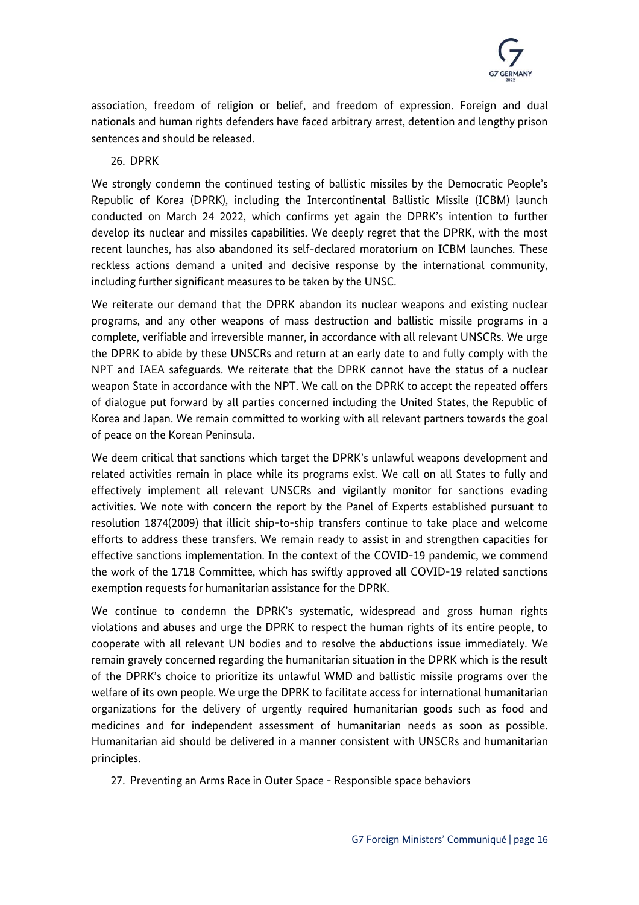

association, freedom of religion or belief, and freedom of expression. Foreign and dual nationals and human rights defenders have faced arbitrary arrest, detention and lengthy prison sentences and should be released.

### 26. DPRK

We strongly condemn the continued testing of ballistic missiles by the Democratic People's Republic of Korea (DPRK), including the Intercontinental Ballistic Missile (ICBM) launch conducted on March 24 2022, which confirms yet again the DPRK's intention to further develop its nuclear and missiles capabilities. We deeply regret that the DPRK, with the most recent launches, has also abandoned its self-declared moratorium on ICBM launches. These reckless actions demand a united and decisive response by the international community, including further significant measures to be taken by the UNSC.

We reiterate our demand that the DPRK abandon its nuclear weapons and existing nuclear programs, and any other weapons of mass destruction and ballistic missile programs in a complete, verifiable and irreversible manner, in accordance with all relevant UNSCRs. We urge the DPRK to abide by these UNSCRs and return at an early date to and fully comply with the NPT and IAEA safeguards. We reiterate that the DPRK cannot have the status of a nuclear weapon State in accordance with the NPT. We call on the DPRK to accept the repeated offers of dialogue put forward by all parties concerned including the United States, the Republic of Korea and Japan. We remain committed to working with all relevant partners towards the goal of peace on the Korean Peninsula.

We deem critical that sanctions which target the DPRK's unlawful weapons development and related activities remain in place while its programs exist. We call on all States to fully and effectively implement all relevant UNSCRs and vigilantly monitor for sanctions evading activities. We note with concern the report by the Panel of Experts established pursuant to resolution 1874(2009) that illicit ship-to-ship transfers continue to take place and welcome efforts to address these transfers. We remain ready to assist in and strengthen capacities for effective sanctions implementation. In the context of the COVID-19 pandemic, we commend the work of the 1718 Committee, which has swiftly approved all COVID-19 related sanctions exemption requests for humanitarian assistance for the DPRK.

We continue to condemn the DPRK's systematic, widespread and gross human rights violations and abuses and urge the DPRK to respect the human rights of its entire people, to cooperate with all relevant UN bodies and to resolve the abductions issue immediately. We remain gravely concerned regarding the humanitarian situation in the DPRK which is the result of the DPRK's choice to prioritize its unlawful WMD and ballistic missile programs over the welfare of its own people. We urge the DPRK to facilitate access for international humanitarian organizations for the delivery of urgently required humanitarian goods such as food and medicines and for independent assessment of humanitarian needs as soon as possible. Humanitarian aid should be delivered in a manner consistent with UNSCRs and humanitarian principles.

27. Preventing an Arms Race in Outer Space - Responsible space behaviors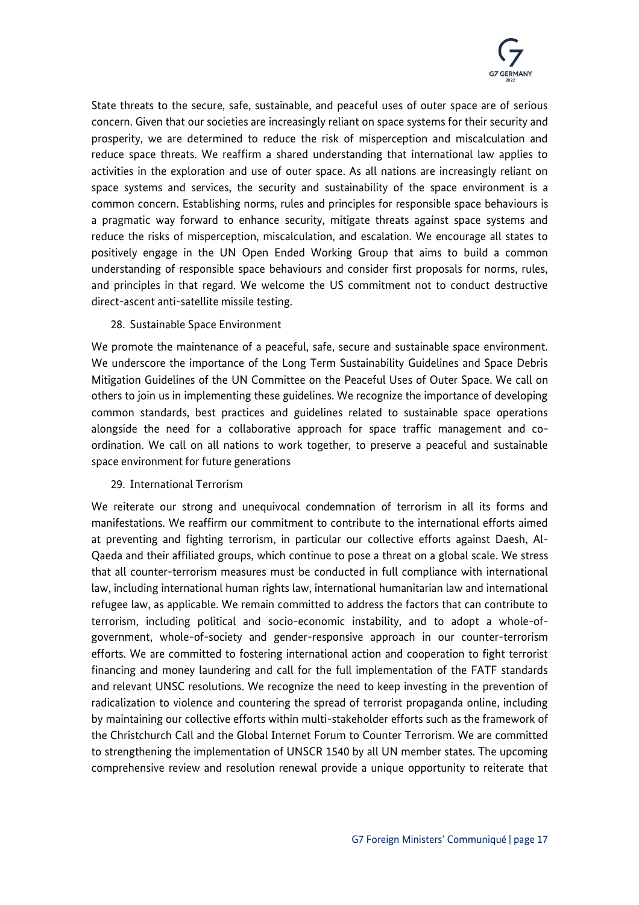

State threats to the secure, safe, sustainable, and peaceful uses of outer space are of serious concern. Given that our societies are increasingly reliant on space systems for their security and prosperity, we are determined to reduce the risk of misperception and miscalculation and reduce space threats. We reaffirm a shared understanding that international law applies to activities in the exploration and use of outer space. As all nations are increasingly reliant on space systems and services, the security and sustainability of the space environment is a common concern. Establishing norms, rules and principles for responsible space behaviours is a pragmatic way forward to enhance security, mitigate threats against space systems and reduce the risks of misperception, miscalculation, and escalation. We encourage all states to positively engage in the UN Open Ended Working Group that aims to build a common understanding of responsible space behaviours and consider first proposals for norms, rules, and principles in that regard. We welcome the US commitment not to conduct destructive direct-ascent anti-satellite missile testing.

#### 28. Sustainable Space Environment

We promote the maintenance of a peaceful, safe, secure and sustainable space environment. We underscore the importance of the Long Term Sustainability Guidelines and Space Debris Mitigation Guidelines of the UN Committee on the Peaceful Uses of Outer Space. We call on others to join us in implementing these guidelines. We recognize the importance of developing common standards, best practices and guidelines related to sustainable space operations alongside the need for a collaborative approach for space traffic management and coordination. We call on all nations to work together, to preserve a peaceful and sustainable space environment for future generations

#### 29. International Terrorism

We reiterate our strong and unequivocal condemnation of terrorism in all its forms and manifestations. We reaffirm our commitment to contribute to the international efforts aimed at preventing and fighting terrorism, in particular our collective efforts against Daesh, Al-Qaeda and their affiliated groups, which continue to pose a threat on a global scale. We stress that all counter-terrorism measures must be conducted in full compliance with international law, including international human rights law, international humanitarian law and international refugee law, as applicable. We remain committed to address the factors that can contribute to terrorism, including political and socio-economic instability, and to adopt a whole-ofgovernment, whole-of-society and gender-responsive approach in our counter-terrorism efforts. We are committed to fostering international action and cooperation to fight terrorist financing and money laundering and call for the full implementation of the FATF standards and relevant UNSC resolutions. We recognize the need to keep investing in the prevention of radicalization to violence and countering the spread of terrorist propaganda online, including by maintaining our collective efforts within multi-stakeholder efforts such as the framework of the Christchurch Call and the Global Internet Forum to Counter Terrorism. We are committed to strengthening the implementation of UNSCR 1540 by all UN member states. The upcoming comprehensive review and resolution renewal provide a unique opportunity to reiterate that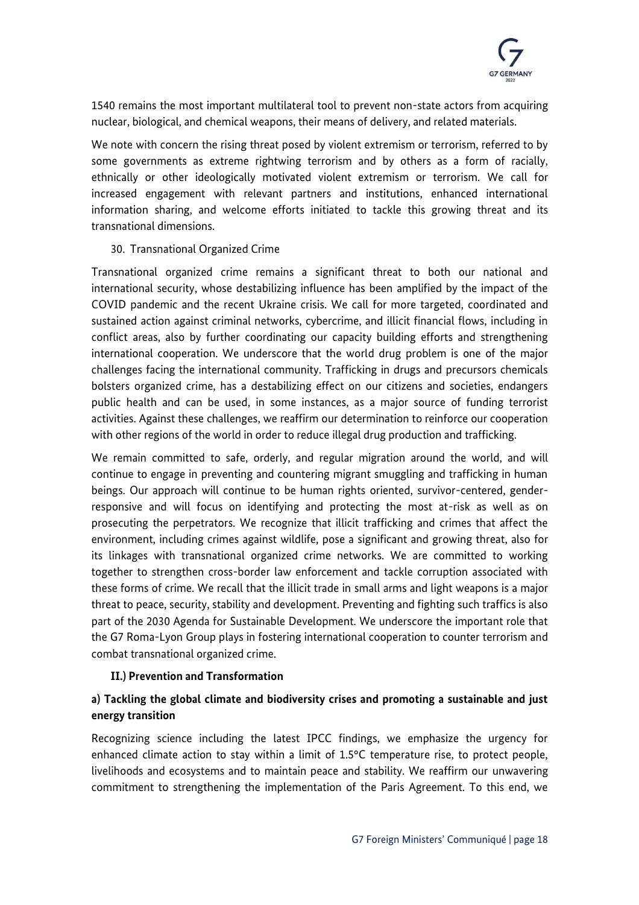

1540 remains the most important multilateral tool to prevent non-state actors from acquiring nuclear, biological, and chemical weapons, their means of delivery, and related materials.

We note with concern the rising threat posed by violent extremism or terrorism, referred to by some governments as extreme rightwing terrorism and by others as a form of racially, ethnically or other ideologically motivated violent extremism or terrorism. We call for increased engagement with relevant partners and institutions, enhanced international information sharing, and welcome efforts initiated to tackle this growing threat and its transnational dimensions.

# 30. Transnational Organized Crime

Transnational organized crime remains a significant threat to both our national and international security, whose destabilizing influence has been amplified by the impact of the COVID pandemic and the recent Ukraine crisis. We call for more targeted, coordinated and sustained action against criminal networks, cybercrime, and illicit financial flows, including in conflict areas, also by further coordinating our capacity building efforts and strengthening international cooperation. We underscore that the world drug problem is one of the major challenges facing the international community. Trafficking in drugs and precursors chemicals bolsters organized crime, has a destabilizing effect on our citizens and societies, endangers public health and can be used, in some instances, as a major source of funding terrorist activities. Against these challenges, we reaffirm our determination to reinforce our cooperation with other regions of the world in order to reduce illegal drug production and trafficking.

We remain committed to safe, orderly, and regular migration around the world, and will continue to engage in preventing and countering migrant smuggling and trafficking in human beings. Our approach will continue to be human rights oriented, survivor-centered, genderresponsive and will focus on identifying and protecting the most at-risk as well as on prosecuting the perpetrators. We recognize that illicit trafficking and crimes that affect the environment, including crimes against wildlife, pose a significant and growing threat, also for its linkages with transnational organized crime networks. We are committed to working together to strengthen cross-border law enforcement and tackle corruption associated with these forms of crime. We recall that the illicit trade in small arms and light weapons is a major threat to peace, security, stability and development. Preventing and fighting such traffics is also part of the 2030 Agenda for Sustainable Development. We underscore the important role that the G7 Roma-Lyon Group plays in fostering international cooperation to counter terrorism and combat transnational organized crime.

#### **II.) Prevention and Transformation**

# **a) Tackling the global climate and biodiversity crises and promoting a sustainable and just energy transition**

Recognizing science including the latest IPCC findings, we emphasize the urgency for enhanced climate action to stay within a limit of 1.5°C temperature rise, to protect people, livelihoods and ecosystems and to maintain peace and stability. We reaffirm our unwavering commitment to strengthening the implementation of the Paris Agreement. To this end, we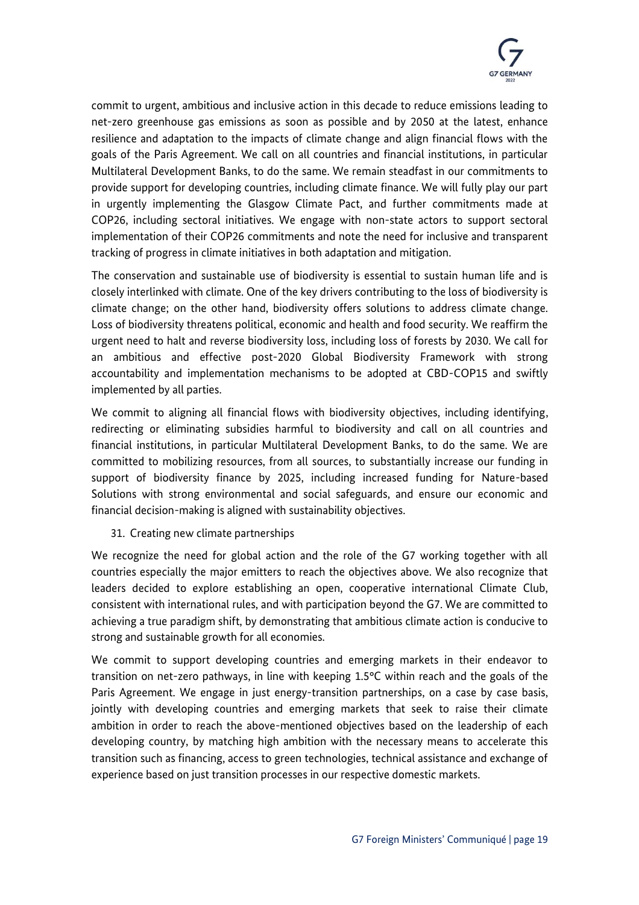

commit to urgent, ambitious and inclusive action in this decade to reduce emissions leading to net-zero greenhouse gas emissions as soon as possible and by 2050 at the latest, enhance resilience and adaptation to the impacts of climate change and align financial flows with the goals of the Paris Agreement. We call on all countries and financial institutions, in particular Multilateral Development Banks, to do the same. We remain steadfast in our commitments to provide support for developing countries, including climate finance. We will fully play our part in urgently implementing the Glasgow Climate Pact, and further commitments made at COP26, including sectoral initiatives. We engage with non-state actors to support sectoral implementation of their COP26 commitments and note the need for inclusive and transparent tracking of progress in climate initiatives in both adaptation and mitigation.

The conservation and sustainable use of biodiversity is essential to sustain human life and is closely interlinked with climate. One of the key drivers contributing to the loss of biodiversity is climate change; on the other hand, biodiversity offers solutions to address climate change. Loss of biodiversity threatens political, economic and health and food security. We reaffirm the urgent need to halt and reverse biodiversity loss, including loss of forests by 2030. We call for an ambitious and effective post-2020 Global Biodiversity Framework with strong accountability and implementation mechanisms to be adopted at CBD-COP15 and swiftly implemented by all parties.

We commit to aligning all financial flows with biodiversity objectives, including identifying, redirecting or eliminating subsidies harmful to biodiversity and call on all countries and financial institutions, in particular Multilateral Development Banks, to do the same. We are committed to mobilizing resources, from all sources, to substantially increase our funding in support of biodiversity finance by 2025, including increased funding for Nature-based Solutions with strong environmental and social safeguards, and ensure our economic and financial decision-making is aligned with sustainability objectives.

31. Creating new climate partnerships

We recognize the need for global action and the role of the G7 working together with all countries especially the major emitters to reach the objectives above. We also recognize that leaders decided to explore establishing an open, cooperative international Climate Club, consistent with international rules, and with participation beyond the G7. We are committed to achieving a true paradigm shift, by demonstrating that ambitious climate action is conducive to strong and sustainable growth for all economies.

We commit to support developing countries and emerging markets in their endeavor to transition on net-zero pathways, in line with keeping 1.5°C within reach and the goals of the Paris Agreement. We engage in just energy-transition partnerships, on a case by case basis, jointly with developing countries and emerging markets that seek to raise their climate ambition in order to reach the above-mentioned objectives based on the leadership of each developing country, by matching high ambition with the necessary means to accelerate this transition such as financing, access to green technologies, technical assistance and exchange of experience based on just transition processes in our respective domestic markets.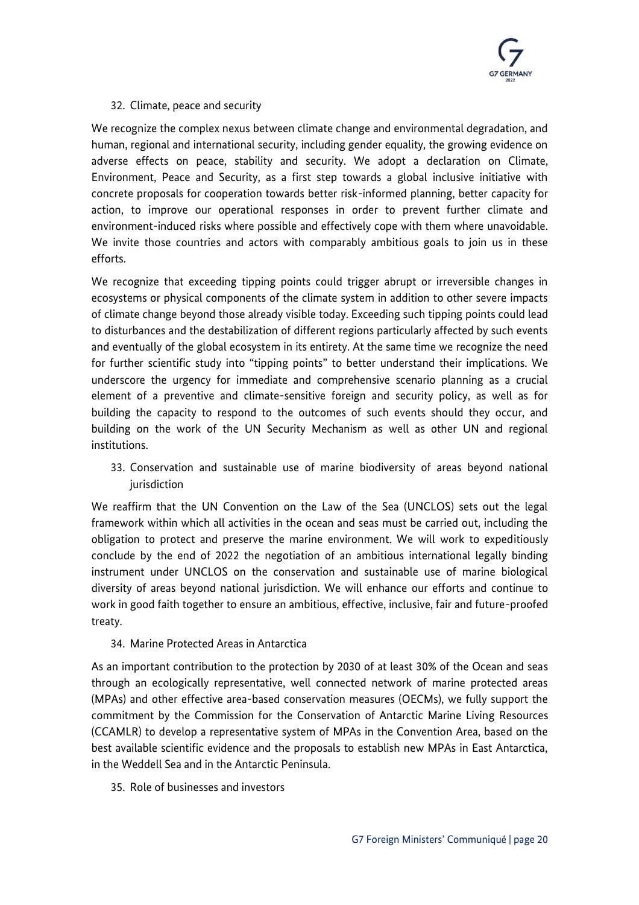

# 32. Climate, peace and security

We recognize the complex nexus between climate change and environmental degradation, and human, regional and international security, including gender equality, the growing evidence on adverse effects on peace, stability and security. We adopt a declaration on Climate, Environment, Peace and Security, as a first step towards a global inclusive initiative with concrete proposals for cooperation towards better risk-informed planning, better capacity for action, to improve our operational responses in order to prevent further climate and environment-induced risks where possible and effectively cope with them where unavoidable. We invite those countries and actors with comparably ambitious goals to join us in these efforts.

We recognize that exceeding tipping points could trigger abrupt or irreversible changes in ecosystems or physical components of the climate system in addition to other severe impacts of climate change beyond those already visible today. Exceeding such tipping points could lead to disturbances and the destabilization of different regions particularly affected by such events and eventually of the global ecosystem in its entirety. At the same time we recognize the need for further scientific study into "tipping points" to better understand their implications. We underscore the urgency for immediate and comprehensive scenario planning as a crucial element of a preventive and climate-sensitive foreign and security policy, as well as for building the capacity to respond to the outcomes of such events should they occur, and building on the work of the UN Security Mechanism as well as other UN and regional institutions.

33. Conservation and sustainable use of marine biodiversity of areas beyond national jurisdiction

We reaffirm that the UN Convention on the Law of the Sea (UNCLOS) sets out the legal framework within which all activities in the ocean and seas must be carried out, including the obligation to protect and preserve the marine environment. We will work to expeditiously conclude by the end of 2022 the negotiation of an ambitious international legally binding instrument under UNCLOS on the conservation and sustainable use of marine biological diversity of areas beyond national jurisdiction. We will enhance our efforts and continue to work in good faith together to ensure an ambitious, effective, inclusive, fair and future-proofed treaty.

# 34. Marine Protected Areas in Antarctica

As an important contribution to the protection by 2030 of at least 30% of the Ocean and seas through an ecologically representative, well connected network of marine protected areas (MPAs) and other effective area-based conservation measures (OECMs), we fully support the commitment by the Commission for the Conservation of Antarctic Marine Living Resources (CCAMLR) to develop a representative system of MPAs in the Convention Area, based on the best available scientific evidence and the proposals to establish new MPAs in East Antarctica, in the Weddell Sea and in the Antarctic Peninsula.

35. Role of businesses and investors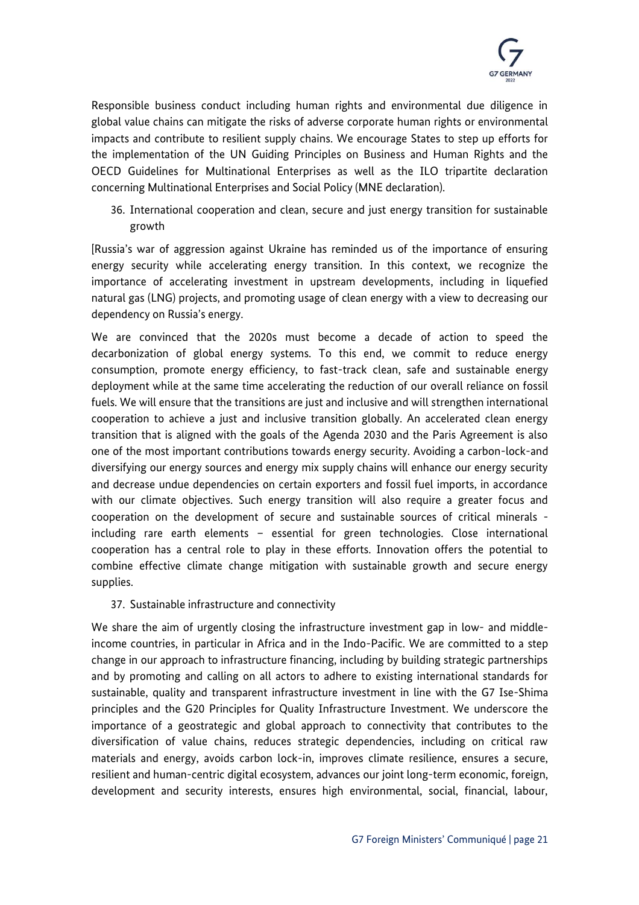

Responsible business conduct including human rights and environmental due diligence in global value chains can mitigate the risks of adverse corporate human rights or environmental impacts and contribute to resilient supply chains. We encourage States to step up efforts for the implementation of the UN Guiding Principles on Business and Human Rights and the OECD Guidelines for Multinational Enterprises as well as the ILO tripartite declaration concerning Multinational Enterprises and Social Policy (MNE declaration).

36. International cooperation and clean, secure and just energy transition for sustainable growth

[Russia's war of aggression against Ukraine has reminded us of the importance of ensuring energy security while accelerating energy transition. In this context, we recognize the importance of accelerating investment in upstream developments, including in liquefied natural gas (LNG) projects, and promoting usage of clean energy with a view to decreasing our dependency on Russia's energy.

We are convinced that the 2020s must become a decade of action to speed the decarbonization of global energy systems. To this end, we commit to reduce energy consumption, promote energy efficiency, to fast-track clean, safe and sustainable energy deployment while at the same time accelerating the reduction of our overall reliance on fossil fuels. We will ensure that the transitions are just and inclusive and will strengthen international cooperation to achieve a just and inclusive transition globally. An accelerated clean energy transition that is aligned with the goals of the Agenda 2030 and the Paris Agreement is also one of the most important contributions towards energy security. Avoiding a carbon-lock-and diversifying our energy sources and energy mix supply chains will enhance our energy security and decrease undue dependencies on certain exporters and fossil fuel imports, in accordance with our climate objectives. Such energy transition will also require a greater focus and cooperation on the development of secure and sustainable sources of critical minerals including rare earth elements – essential for green technologies. Close international cooperation has a central role to play in these efforts. Innovation offers the potential to combine effective climate change mitigation with sustainable growth and secure energy supplies.

# 37. Sustainable infrastructure and connectivity

We share the aim of urgently closing the infrastructure investment gap in low- and middleincome countries, in particular in Africa and in the Indo-Pacific. We are committed to a step change in our approach to infrastructure financing, including by building strategic partnerships and by promoting and calling on all actors to adhere to existing international standards for sustainable, quality and transparent infrastructure investment in line with the G7 Ise-Shima principles and the G20 Principles for Quality Infrastructure Investment. We underscore the importance of a geostrategic and global approach to connectivity that contributes to the diversification of value chains, reduces strategic dependencies, including on critical raw materials and energy, avoids carbon lock-in, improves climate resilience, ensures a secure, resilient and human-centric digital ecosystem, advances our joint long-term economic, foreign, development and security interests, ensures high environmental, social, financial, labour,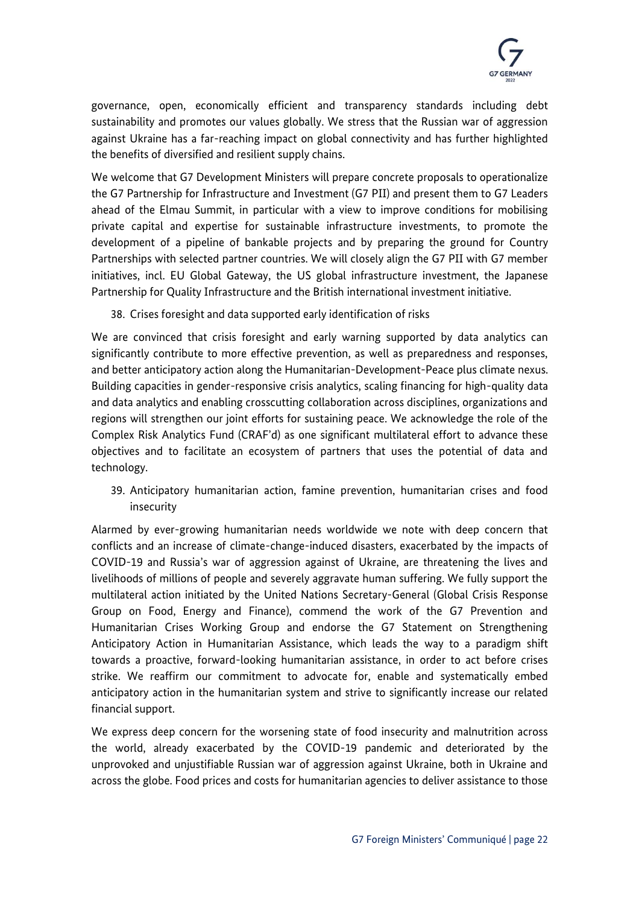

governance, open, economically efficient and transparency standards including debt sustainability and promotes our values globally. We stress that the Russian war of aggression against Ukraine has a far-reaching impact on global connectivity and has further highlighted the benefits of diversified and resilient supply chains.

We welcome that G7 Development Ministers will prepare concrete proposals to operationalize the G7 Partnership for Infrastructure and Investment (G7 PII) and present them to G7 Leaders ahead of the Elmau Summit, in particular with a view to improve conditions for mobilising private capital and expertise for sustainable infrastructure investments, to promote the development of a pipeline of bankable projects and by preparing the ground for Country Partnerships with selected partner countries. We will closely align the G7 PII with G7 member initiatives, incl. EU Global Gateway, the US global infrastructure investment, the Japanese Partnership for Quality Infrastructure and the British international investment initiative.

38. Crises foresight and data supported early identification of risks

We are convinced that crisis foresight and early warning supported by data analytics can significantly contribute to more effective prevention, as well as preparedness and responses, and better anticipatory action along the Humanitarian-Development-Peace plus climate nexus. Building capacities in gender-responsive crisis analytics, scaling financing for high-quality data and data analytics and enabling crosscutting collaboration across disciplines, organizations and regions will strengthen our joint efforts for sustaining peace. We acknowledge the role of the Complex Risk Analytics Fund (CRAF'd) as one significant multilateral effort to advance these objectives and to facilitate an ecosystem of partners that uses the potential of data and technology.

39. Anticipatory humanitarian action, famine prevention, humanitarian crises and food insecurity

Alarmed by ever-growing humanitarian needs worldwide we note with deep concern that conflicts and an increase of climate-change-induced disasters, exacerbated by the impacts of COVID-19 and Russia's war of aggression against of Ukraine, are threatening the lives and livelihoods of millions of people and severely aggravate human suffering. We fully support the multilateral action initiated by the United Nations Secretary-General (Global Crisis Response Group on Food, Energy and Finance), commend the work of the G7 Prevention and Humanitarian Crises Working Group and endorse the G7 Statement on Strengthening Anticipatory Action in Humanitarian Assistance, which leads the way to a paradigm shift towards a proactive, forward-looking humanitarian assistance, in order to act before crises strike. We reaffirm our commitment to advocate for, enable and systematically embed anticipatory action in the humanitarian system and strive to significantly increase our related financial support.

We express deep concern for the worsening state of food insecurity and malnutrition across the world, already exacerbated by the COVID-19 pandemic and deteriorated by the unprovoked and unjustifiable Russian war of aggression against Ukraine, both in Ukraine and across the globe. Food prices and costs for humanitarian agencies to deliver assistance to those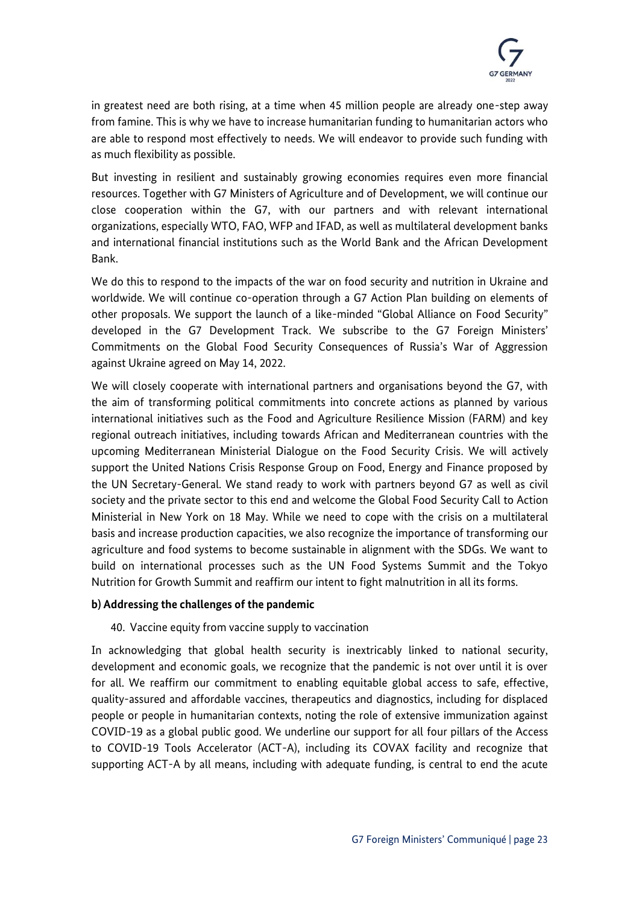

in greatest need are both rising, at a time when 45 million people are already one-step away from famine. This is why we have to increase humanitarian funding to humanitarian actors who are able to respond most effectively to needs. We will endeavor to provide such funding with as much flexibility as possible.

But investing in resilient and sustainably growing economies requires even more financial resources. Together with G7 Ministers of Agriculture and of Development, we will continue our close cooperation within the G7, with our partners and with relevant international organizations, especially WTO, FAO, WFP and IFAD, as well as multilateral development banks and international financial institutions such as the World Bank and the African Development Bank.

We do this to respond to the impacts of the war on food security and nutrition in Ukraine and worldwide. We will continue co-operation through a G7 Action Plan building on elements of other proposals. We support the launch of a like-minded "Global Alliance on Food Security" developed in the G7 Development Track. We subscribe to the G7 Foreign Ministers' Commitments on the Global Food Security Consequences of Russia's War of Aggression against Ukraine agreed on May 14, 2022.

We will closely cooperate with international partners and organisations beyond the G7, with the aim of transforming political commitments into concrete actions as planned by various international initiatives such as the Food and Agriculture Resilience Mission (FARM) and key regional outreach initiatives, including towards African and Mediterranean countries with the upcoming Mediterranean Ministerial Dialogue on the Food Security Crisis. We will actively support the United Nations Crisis Response Group on Food, Energy and Finance proposed by the UN Secretary-General. We stand ready to work with partners beyond G7 as well as civil society and the private sector to this end and welcome the Global Food Security Call to Action Ministerial in New York on 18 May. While we need to cope with the crisis on a multilateral basis and increase production capacities, we also recognize the importance of transforming our agriculture and food systems to become sustainable in alignment with the SDGs. We want to build on international processes such as the UN Food Systems Summit and the Tokyo Nutrition for Growth Summit and reaffirm our intent to fight malnutrition in all its forms.

# **b) Addressing the challenges of the pandemic**

# 40. Vaccine equity from vaccine supply to vaccination

In acknowledging that global health security is inextricably linked to national security, development and economic goals, we recognize that the pandemic is not over until it is over for all. We reaffirm our commitment to enabling equitable global access to safe, effective, quality-assured and affordable vaccines, therapeutics and diagnostics, including for displaced people or people in humanitarian contexts, noting the role of extensive immunization against COVID-19 as a global public good. We underline our support for all four pillars of the Access to COVID-19 Tools Accelerator (ACT-A), including its COVAX facility and recognize that supporting ACT-A by all means, including with adequate funding, is central to end the acute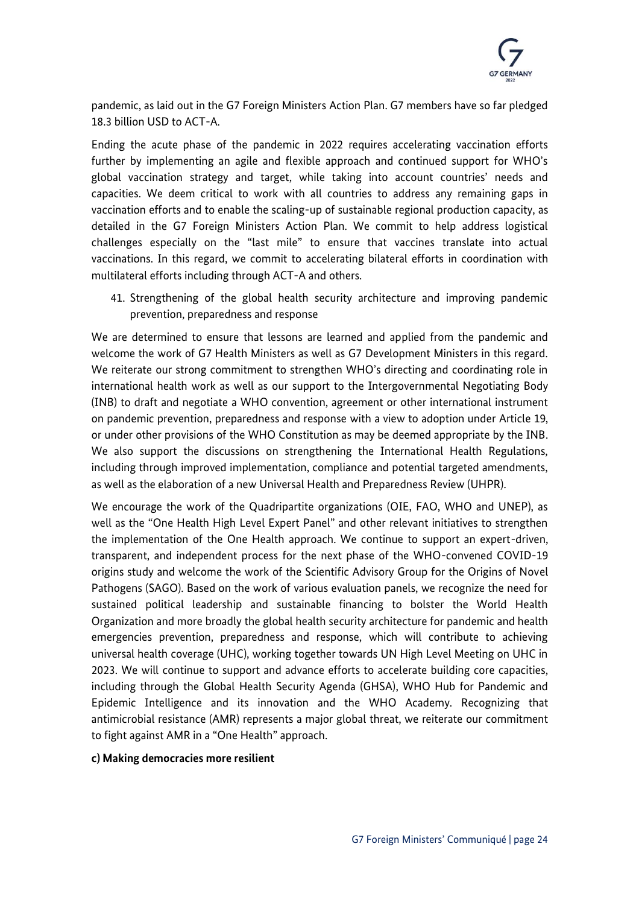

pandemic, as laid out in the G7 Foreign Ministers Action Plan. G7 members have so far pledged 18.3 billion USD to ACT-A.

Ending the acute phase of the pandemic in 2022 requires accelerating vaccination efforts further by implementing an agile and flexible approach and continued support for WHO's global vaccination strategy and target, while taking into account countries' needs and capacities. We deem critical to work with all countries to address any remaining gaps in vaccination efforts and to enable the scaling-up of sustainable regional production capacity, as detailed in the G7 Foreign Ministers Action Plan. We commit to help address logistical challenges especially on the "last mile" to ensure that vaccines translate into actual vaccinations. In this regard, we commit to accelerating bilateral efforts in coordination with multilateral efforts including through ACT-A and others.

41. Strengthening of the global health security architecture and improving pandemic prevention, preparedness and response

We are determined to ensure that lessons are learned and applied from the pandemic and welcome the work of G7 Health Ministers as well as G7 Development Ministers in this regard. We reiterate our strong commitment to strengthen WHO's directing and coordinating role in international health work as well as our support to the Intergovernmental Negotiating Body (INB) to draft and negotiate a WHO convention, agreement or other international instrument on pandemic prevention, preparedness and response with a view to adoption under Article 19, or under other provisions of the WHO Constitution as may be deemed appropriate by the INB. We also support the discussions on strengthening the International Health Regulations, including through improved implementation, compliance and potential targeted amendments, as well as the elaboration of a new Universal Health and Preparedness Review (UHPR).

We encourage the work of the Quadripartite organizations (OIE, FAO, WHO and UNEP), as well as the "One Health High Level Expert Panel" and other relevant initiatives to strengthen the implementation of the One Health approach. We continue to support an expert-driven, transparent, and independent process for the next phase of the WHO-convened COVID-19 origins study and welcome the work of the Scientific Advisory Group for the Origins of Novel Pathogens (SAGO). Based on the work of various evaluation panels, we recognize the need for sustained political leadership and sustainable financing to bolster the World Health Organization and more broadly the global health security architecture for pandemic and health emergencies prevention, preparedness and response, which will contribute to achieving universal health coverage (UHC), working together towards UN High Level Meeting on UHC in 2023. We will continue to support and advance efforts to accelerate building core capacities, including through the Global Health Security Agenda (GHSA), WHO Hub for Pandemic and Epidemic Intelligence and its innovation and the WHO Academy. Recognizing that antimicrobial resistance (AMR) represents a major global threat, we reiterate our commitment to fight against AMR in a "One Health" approach.

#### **c) Making democracies more resilient**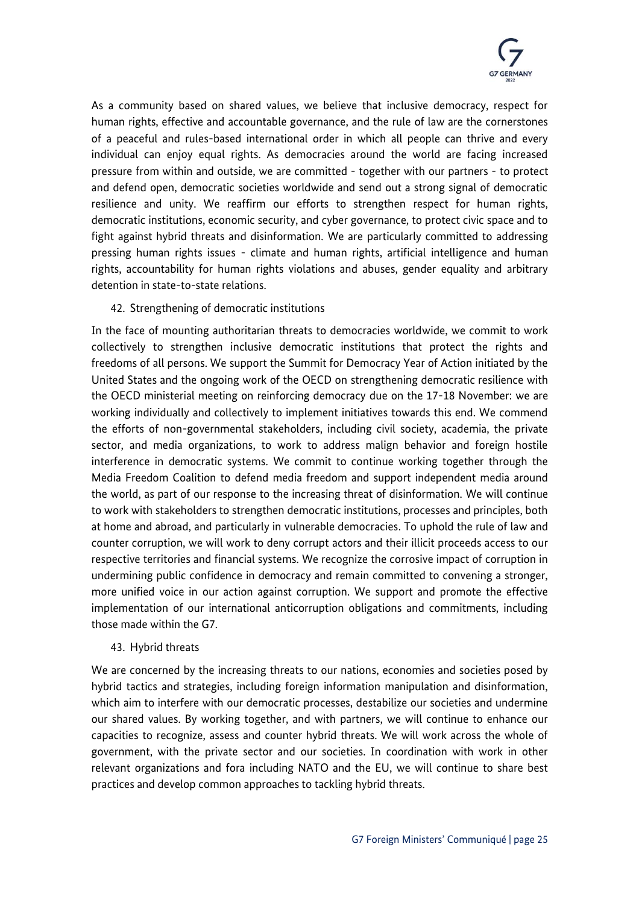

As a community based on shared values, we believe that inclusive democracy, respect for human rights, effective and accountable governance, and the rule of law are the cornerstones of a peaceful and rules-based international order in which all people can thrive and every individual can enjoy equal rights. As democracies around the world are facing increased pressure from within and outside, we are committed - together with our partners - to protect and defend open, democratic societies worldwide and send out a strong signal of democratic resilience and unity. We reaffirm our efforts to strengthen respect for human rights, democratic institutions, economic security, and cyber governance, to protect civic space and to fight against hybrid threats and disinformation. We are particularly committed to addressing pressing human rights issues - climate and human rights, artificial intelligence and human rights, accountability for human rights violations and abuses, gender equality and arbitrary detention in state-to-state relations.

# 42. Strengthening of democratic institutions

In the face of mounting authoritarian threats to democracies worldwide, we commit to work collectively to strengthen inclusive democratic institutions that protect the rights and freedoms of all persons. We support the Summit for Democracy Year of Action initiated by the United States and the ongoing work of the OECD on strengthening democratic resilience with the OECD ministerial meeting on reinforcing democracy due on the 17-18 November: we are working individually and collectively to implement initiatives towards this end. We commend the efforts of non-governmental stakeholders, including civil society, academia, the private sector, and media organizations, to work to address malign behavior and foreign hostile interference in democratic systems. We commit to continue working together through the Media Freedom Coalition to defend media freedom and support independent media around the world, as part of our response to the increasing threat of disinformation. We will continue to work with stakeholders to strengthen democratic institutions, processes and principles, both at home and abroad, and particularly in vulnerable democracies. To uphold the rule of law and counter corruption, we will work to deny corrupt actors and their illicit proceeds access to our respective territories and financial systems. We recognize the corrosive impact of corruption in undermining public confidence in democracy and remain committed to convening a stronger, more unified voice in our action against corruption. We support and promote the effective implementation of our international anticorruption obligations and commitments, including those made within the G7.

#### 43. Hybrid threats

We are concerned by the increasing threats to our nations, economies and societies posed by hybrid tactics and strategies, including foreign information manipulation and disinformation, which aim to interfere with our democratic processes, destabilize our societies and undermine our shared values. By working together, and with partners, we will continue to enhance our capacities to recognize, assess and counter hybrid threats. We will work across the whole of government, with the private sector and our societies. In coordination with work in other relevant organizations and fora including NATO and the EU, we will continue to share best practices and develop common approaches to tackling hybrid threats.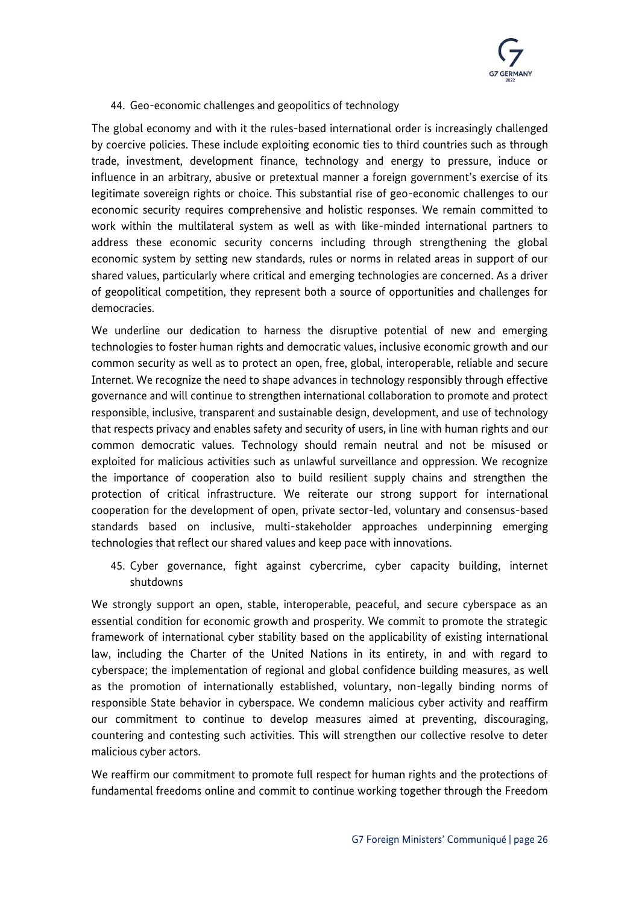# 44. Geo-economic challenges and geopolitics of technology

The global economy and with it the rules-based international order is increasingly challenged by coercive policies. These include exploiting economic ties to third countries such as through trade, investment, development finance, technology and energy to pressure, induce or influence in an arbitrary, abusive or pretextual manner a foreign government's exercise of its legitimate sovereign rights or choice. This substantial rise of geo-economic challenges to our economic security requires comprehensive and holistic responses. We remain committed to work within the multilateral system as well as with like-minded international partners to address these economic security concerns including through strengthening the global economic system by setting new standards, rules or norms in related areas in support of our shared values, particularly where critical and emerging technologies are concerned. As a driver of geopolitical competition, they represent both a source of opportunities and challenges for democracies.

We underline our dedication to harness the disruptive potential of new and emerging technologies to foster human rights and democratic values, inclusive economic growth and our common security as well as to protect an open, free, global, interoperable, reliable and secure Internet. We recognize the need to shape advances in technology responsibly through effective governance and will continue to strengthen international collaboration to promote and protect responsible, inclusive, transparent and sustainable design, development, and use of technology that respects privacy and enables safety and security of users, in line with human rights and our common democratic values. Technology should remain neutral and not be misused or exploited for malicious activities such as unlawful surveillance and oppression. We recognize the importance of cooperation also to build resilient supply chains and strengthen the protection of critical infrastructure. We reiterate our strong support for international cooperation for the development of open, private sector-led, voluntary and consensus-based standards based on inclusive, multi-stakeholder approaches underpinning emerging technologies that reflect our shared values and keep pace with innovations.

45. Cyber governance, fight against cybercrime, cyber capacity building, internet shutdowns

We strongly support an open, stable, interoperable, peaceful, and secure cyberspace as an essential condition for economic growth and prosperity. We commit to promote the strategic framework of international cyber stability based on the applicability of existing international law, including the Charter of the United Nations in its entirety, in and with regard to cyberspace; the implementation of regional and global confidence building measures, as well as the promotion of internationally established, voluntary, non-legally binding norms of responsible State behavior in cyberspace. We condemn malicious cyber activity and reaffirm our commitment to continue to develop measures aimed at preventing, discouraging, countering and contesting such activities. This will strengthen our collective resolve to deter malicious cyber actors.

We reaffirm our commitment to promote full respect for human rights and the protections of fundamental freedoms online and commit to continue working together through the Freedom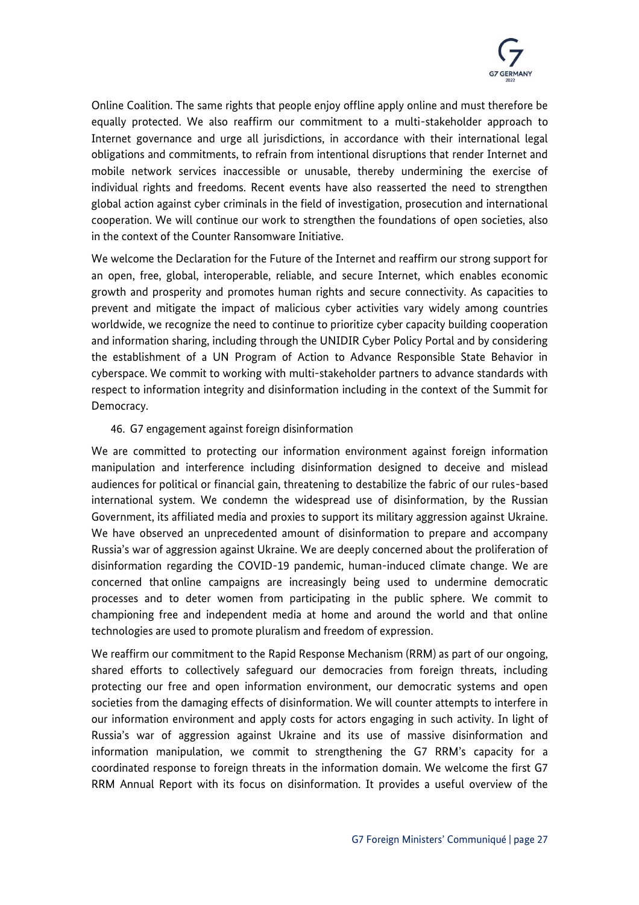

Online Coalition. The same rights that people enjoy offline apply online and must therefore be equally protected. We also reaffirm our commitment to a multi-stakeholder approach to Internet governance and urge all jurisdictions, in accordance with their international legal obligations and commitments, to refrain from intentional disruptions that render Internet and mobile network services inaccessible or unusable, thereby undermining the exercise of individual rights and freedoms. Recent events have also reasserted the need to strengthen global action against cyber criminals in the field of investigation, prosecution and international cooperation. We will continue our work to strengthen the foundations of open societies, also in the context of the Counter Ransomware Initiative.

We welcome the Declaration for the Future of the Internet and reaffirm our strong support for an open, free, global, interoperable, reliable, and secure Internet, which enables economic growth and prosperity and promotes human rights and secure connectivity. As capacities to prevent and mitigate the impact of malicious cyber activities vary widely among countries worldwide, we recognize the need to continue to prioritize cyber capacity building cooperation and information sharing, including through the UNIDIR Cyber Policy Portal and by considering the establishment of a UN Program of Action to Advance Responsible State Behavior in cyberspace. We commit to working with multi-stakeholder partners to advance standards with respect to information integrity and disinformation including in the context of the Summit for Democracy.

# 46. G7 engagement against foreign disinformation

We are committed to protecting our information environment against foreign information manipulation and interference including disinformation designed to deceive and mislead audiences for political or financial gain, threatening to destabilize the fabric of our rules-based international system. We condemn the widespread use of disinformation, by the Russian Government, its affiliated media and proxies to support its military aggression against Ukraine. We have observed an unprecedented amount of disinformation to prepare and accompany Russia's war of aggression against Ukraine. We are deeply concerned about the proliferation of disinformation regarding the COVID-19 pandemic, human-induced climate change. We are concerned that online campaigns are increasingly being used to undermine democratic processes and to deter women from participating in the public sphere. We commit to championing free and independent media at home and around the world and that online technologies are used to promote pluralism and freedom of expression.

We reaffirm our commitment to the Rapid Response Mechanism (RRM) as part of our ongoing, shared efforts to collectively safeguard our democracies from foreign threats, including protecting our free and open information environment, our democratic systems and open societies from the damaging effects of disinformation. We will counter attempts to interfere in our information environment and apply costs for actors engaging in such activity. In light of Russia's war of aggression against Ukraine and its use of massive disinformation and information manipulation, we commit to strengthening the G7 RRM's capacity for a coordinated response to foreign threats in the information domain. We welcome the first G7 RRM Annual Report with its focus on disinformation. It provides a useful overview of the